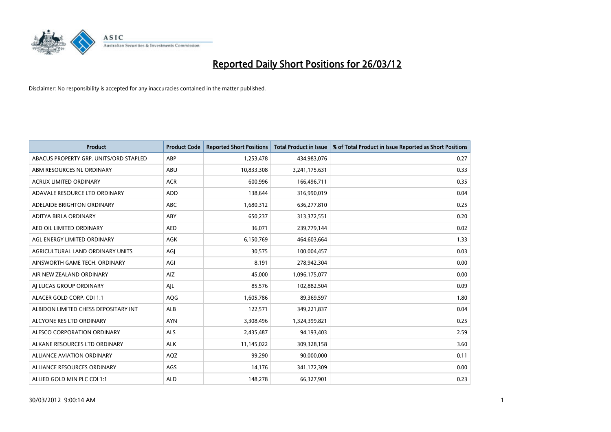

| <b>Product</b>                         | <b>Product Code</b> | <b>Reported Short Positions</b> | <b>Total Product in Issue</b> | % of Total Product in Issue Reported as Short Positions |
|----------------------------------------|---------------------|---------------------------------|-------------------------------|---------------------------------------------------------|
| ABACUS PROPERTY GRP. UNITS/ORD STAPLED | ABP                 | 1,253,478                       | 434,983,076                   | 0.27                                                    |
| ABM RESOURCES NL ORDINARY              | ABU                 | 10,833,308                      | 3,241,175,631                 | 0.33                                                    |
| <b>ACRUX LIMITED ORDINARY</b>          | <b>ACR</b>          | 600,996                         | 166,496,711                   | 0.35                                                    |
| ADAVALE RESOURCE LTD ORDINARY          | <b>ADD</b>          | 138,644                         | 316,990,019                   | 0.04                                                    |
| ADELAIDE BRIGHTON ORDINARY             | <b>ABC</b>          | 1,680,312                       | 636,277,810                   | 0.25                                                    |
| ADITYA BIRLA ORDINARY                  | ABY                 | 650,237                         | 313,372,551                   | 0.20                                                    |
| AED OIL LIMITED ORDINARY               | <b>AED</b>          | 36,071                          | 239,779,144                   | 0.02                                                    |
| AGL ENERGY LIMITED ORDINARY            | AGK                 | 6,150,769                       | 464,603,664                   | 1.33                                                    |
| AGRICULTURAL LAND ORDINARY UNITS       | AGJ                 | 30,575                          | 100,004,457                   | 0.03                                                    |
| AINSWORTH GAME TECH. ORDINARY          | AGI                 | 8,191                           | 278,942,304                   | 0.00                                                    |
| AIR NEW ZEALAND ORDINARY               | AIZ                 | 45,000                          | 1,096,175,077                 | 0.00                                                    |
| AI LUCAS GROUP ORDINARY                | AJL                 | 85,576                          | 102,882,504                   | 0.09                                                    |
| ALACER GOLD CORP. CDI 1:1              | AQG                 | 1,605,786                       | 89,369,597                    | 1.80                                                    |
| ALBIDON LIMITED CHESS DEPOSITARY INT   | ALB                 | 122,571                         | 349,221,837                   | 0.04                                                    |
| ALCYONE RES LTD ORDINARY               | <b>AYN</b>          | 3,308,496                       | 1,324,399,821                 | 0.25                                                    |
| ALESCO CORPORATION ORDINARY            | ALS                 | 2,435,487                       | 94,193,403                    | 2.59                                                    |
| ALKANE RESOURCES LTD ORDINARY          | <b>ALK</b>          | 11,145,022                      | 309,328,158                   | 3.60                                                    |
| <b>ALLIANCE AVIATION ORDINARY</b>      | AQZ                 | 99,290                          | 90,000,000                    | 0.11                                                    |
| ALLIANCE RESOURCES ORDINARY            | AGS                 | 14,176                          | 341,172,309                   | 0.00                                                    |
| ALLIED GOLD MIN PLC CDI 1:1            | <b>ALD</b>          | 148,278                         | 66,327,901                    | 0.23                                                    |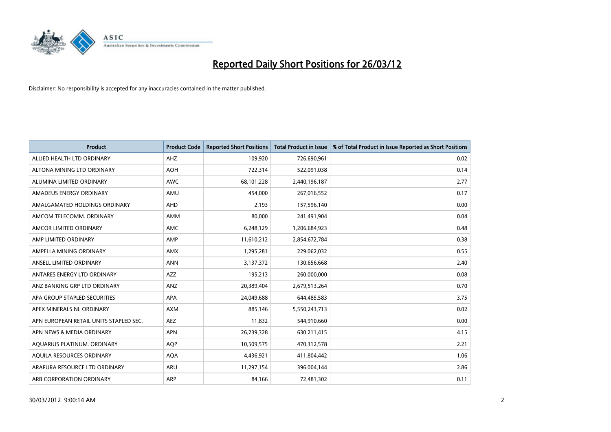

| <b>Product</b>                         | <b>Product Code</b> | <b>Reported Short Positions</b> | <b>Total Product in Issue</b> | % of Total Product in Issue Reported as Short Positions |
|----------------------------------------|---------------------|---------------------------------|-------------------------------|---------------------------------------------------------|
| ALLIED HEALTH LTD ORDINARY             | AHZ                 | 109,920                         | 726,690,961                   | 0.02                                                    |
| ALTONA MINING LTD ORDINARY             | <b>AOH</b>          | 722,314                         | 522,091,038                   | 0.14                                                    |
| ALUMINA LIMITED ORDINARY               | <b>AWC</b>          | 68,101,228                      | 2,440,196,187                 | 2.77                                                    |
| AMADEUS ENERGY ORDINARY                | AMU                 | 454,000                         | 267,016,552                   | 0.17                                                    |
| AMALGAMATED HOLDINGS ORDINARY          | AHD                 | 2,193                           | 157,596,140                   | 0.00                                                    |
| AMCOM TELECOMM. ORDINARY               | AMM                 | 80,000                          | 241,491,904                   | 0.04                                                    |
| AMCOR LIMITED ORDINARY                 | <b>AMC</b>          | 6,248,129                       | 1,206,684,923                 | 0.48                                                    |
| AMP LIMITED ORDINARY                   | AMP                 | 11,610,212                      | 2,854,672,784                 | 0.38                                                    |
| AMPELLA MINING ORDINARY                | <b>AMX</b>          | 1,295,281                       | 229,062,032                   | 0.55                                                    |
| ANSELL LIMITED ORDINARY                | <b>ANN</b>          | 3,137,372                       | 130,656,668                   | 2.40                                                    |
| ANTARES ENERGY LTD ORDINARY            | <b>AZZ</b>          | 195,213                         | 260,000,000                   | 0.08                                                    |
| ANZ BANKING GRP LTD ORDINARY           | <b>ANZ</b>          | 20,389,404                      | 2,679,513,264                 | 0.70                                                    |
| APA GROUP STAPLED SECURITIES           | APA                 | 24,049,688                      | 644,485,583                   | 3.75                                                    |
| APEX MINERALS NL ORDINARY              | <b>AXM</b>          | 885,146                         | 5,550,243,713                 | 0.02                                                    |
| APN EUROPEAN RETAIL UNITS STAPLED SEC. | AEZ                 | 11,832                          | 544,910,660                   | 0.00                                                    |
| APN NEWS & MEDIA ORDINARY              | <b>APN</b>          | 26,239,328                      | 630,211,415                   | 4.15                                                    |
| AQUARIUS PLATINUM. ORDINARY            | <b>AQP</b>          | 10,509,575                      | 470,312,578                   | 2.21                                                    |
| AQUILA RESOURCES ORDINARY              | <b>AQA</b>          | 4,436,921                       | 411,804,442                   | 1.06                                                    |
| ARAFURA RESOURCE LTD ORDINARY          | ARU                 | 11,297,154                      | 396,004,144                   | 2.86                                                    |
| ARB CORPORATION ORDINARY               | ARP                 | 84,166                          | 72,481,302                    | 0.11                                                    |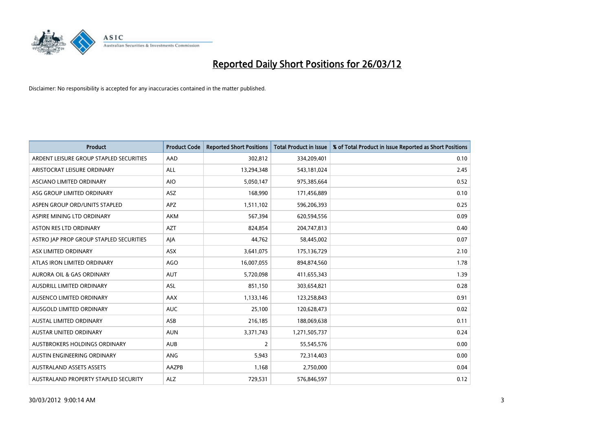

| <b>Product</b>                          | <b>Product Code</b> | <b>Reported Short Positions</b> | <b>Total Product in Issue</b> | % of Total Product in Issue Reported as Short Positions |
|-----------------------------------------|---------------------|---------------------------------|-------------------------------|---------------------------------------------------------|
| ARDENT LEISURE GROUP STAPLED SECURITIES | AAD                 | 302,812                         | 334,209,401                   | 0.10                                                    |
| ARISTOCRAT LEISURE ORDINARY             | ALL                 | 13,294,348                      | 543,181,024                   | 2.45                                                    |
| ASCIANO LIMITED ORDINARY                | <b>AIO</b>          | 5,050,147                       | 975,385,664                   | 0.52                                                    |
| ASG GROUP LIMITED ORDINARY              | <b>ASZ</b>          | 168,990                         | 171,456,889                   | 0.10                                                    |
| ASPEN GROUP ORD/UNITS STAPLED           | <b>APZ</b>          | 1,511,102                       | 596,206,393                   | 0.25                                                    |
| ASPIRE MINING LTD ORDINARY              | <b>AKM</b>          | 567,394                         | 620,594,556                   | 0.09                                                    |
| ASTON RES LTD ORDINARY                  | <b>AZT</b>          | 824,854                         | 204,747,813                   | 0.40                                                    |
| ASTRO JAP PROP GROUP STAPLED SECURITIES | AJA                 | 44,762                          | 58,445,002                    | 0.07                                                    |
| ASX LIMITED ORDINARY                    | <b>ASX</b>          | 3,641,075                       | 175,136,729                   | 2.10                                                    |
| ATLAS IRON LIMITED ORDINARY             | AGO                 | 16,007,055                      | 894,874,560                   | 1.78                                                    |
| AURORA OIL & GAS ORDINARY               | AUT                 | 5,720,098                       | 411,655,343                   | 1.39                                                    |
| AUSDRILL LIMITED ORDINARY               | ASL                 | 851,150                         | 303,654,821                   | 0.28                                                    |
| AUSENCO LIMITED ORDINARY                | AAX                 | 1,133,146                       | 123,258,843                   | 0.91                                                    |
| AUSGOLD LIMITED ORDINARY                | <b>AUC</b>          | 25,100                          | 120,628,473                   | 0.02                                                    |
| <b>AUSTAL LIMITED ORDINARY</b>          | ASB                 | 216,185                         | 188,069,638                   | 0.11                                                    |
| AUSTAR UNITED ORDINARY                  | <b>AUN</b>          | 3,371,743                       | 1,271,505,737                 | 0.24                                                    |
| AUSTBROKERS HOLDINGS ORDINARY           | <b>AUB</b>          | $\overline{2}$                  | 55,545,576                    | 0.00                                                    |
| AUSTIN ENGINEERING ORDINARY             | ANG                 | 5,943                           | 72,314,403                    | 0.00                                                    |
| <b>AUSTRALAND ASSETS ASSETS</b>         | AAZPB               | 1,168                           | 2,750,000                     | 0.04                                                    |
| AUSTRALAND PROPERTY STAPLED SECURITY    | ALZ                 | 729,531                         | 576,846,597                   | 0.12                                                    |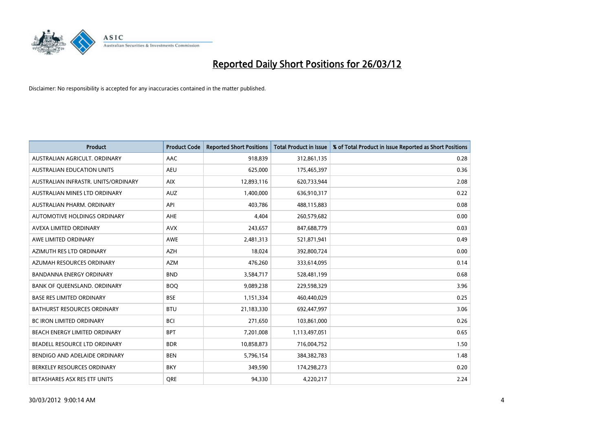

| <b>Product</b>                      | <b>Product Code</b> | <b>Reported Short Positions</b> | <b>Total Product in Issue</b> | % of Total Product in Issue Reported as Short Positions |
|-------------------------------------|---------------------|---------------------------------|-------------------------------|---------------------------------------------------------|
| AUSTRALIAN AGRICULT, ORDINARY       | AAC                 | 918,839                         | 312,861,135                   | 0.28                                                    |
| AUSTRALIAN EDUCATION UNITS          | <b>AEU</b>          | 625,000                         | 175,465,397                   | 0.36                                                    |
| AUSTRALIAN INFRASTR, UNITS/ORDINARY | <b>AIX</b>          | 12,893,116                      | 620,733,944                   | 2.08                                                    |
| AUSTRALIAN MINES LTD ORDINARY       | <b>AUZ</b>          | 1,400,000                       | 636,910,317                   | 0.22                                                    |
| AUSTRALIAN PHARM, ORDINARY          | API                 | 403,786                         | 488,115,883                   | 0.08                                                    |
| AUTOMOTIVE HOLDINGS ORDINARY        | AHE                 | 4,404                           | 260,579,682                   | 0.00                                                    |
| AVEXA LIMITED ORDINARY              | <b>AVX</b>          | 243,657                         | 847,688,779                   | 0.03                                                    |
| AWE LIMITED ORDINARY                | AWE                 | 2,481,313                       | 521,871,941                   | 0.49                                                    |
| AZIMUTH RES LTD ORDINARY            | <b>AZH</b>          | 18,024                          | 392,800,724                   | 0.00                                                    |
| AZUMAH RESOURCES ORDINARY           | <b>AZM</b>          | 476,260                         | 333,614,095                   | 0.14                                                    |
| <b>BANDANNA ENERGY ORDINARY</b>     | <b>BND</b>          | 3,584,717                       | 528,481,199                   | 0.68                                                    |
| <b>BANK OF OUEENSLAND, ORDINARY</b> | <b>BOQ</b>          | 9,089,238                       | 229,598,329                   | 3.96                                                    |
| <b>BASE RES LIMITED ORDINARY</b>    | <b>BSE</b>          | 1,151,334                       | 460,440,029                   | 0.25                                                    |
| <b>BATHURST RESOURCES ORDINARY</b>  | <b>BTU</b>          | 21,183,330                      | 692,447,997                   | 3.06                                                    |
| <b>BC IRON LIMITED ORDINARY</b>     | <b>BCI</b>          | 271,650                         | 103,861,000                   | 0.26                                                    |
| BEACH ENERGY LIMITED ORDINARY       | <b>BPT</b>          | 7,201,008                       | 1,113,497,051                 | 0.65                                                    |
| BEADELL RESOURCE LTD ORDINARY       | <b>BDR</b>          | 10,858,873                      | 716,004,752                   | 1.50                                                    |
| BENDIGO AND ADELAIDE ORDINARY       | <b>BEN</b>          | 5,796,154                       | 384, 382, 783                 | 1.48                                                    |
| BERKELEY RESOURCES ORDINARY         | <b>BKY</b>          | 349,590                         | 174,298,273                   | 0.20                                                    |
| BETASHARES ASX RES ETF UNITS        | <b>ORE</b>          | 94,330                          | 4,220,217                     | 2.24                                                    |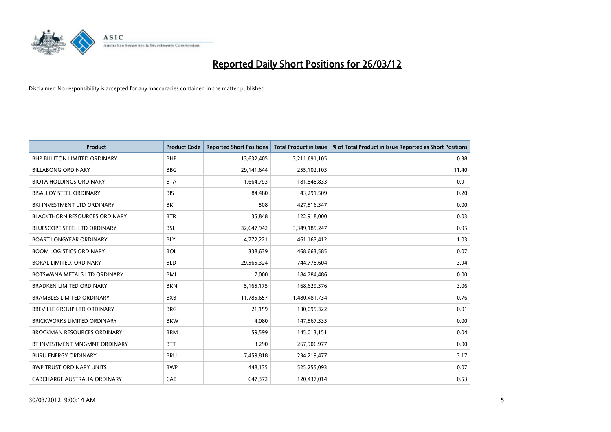

| <b>Product</b>                       | <b>Product Code</b> | <b>Reported Short Positions</b> | <b>Total Product in Issue</b> | % of Total Product in Issue Reported as Short Positions |
|--------------------------------------|---------------------|---------------------------------|-------------------------------|---------------------------------------------------------|
| <b>BHP BILLITON LIMITED ORDINARY</b> | <b>BHP</b>          | 13,632,405                      | 3,211,691,105                 | 0.38                                                    |
| <b>BILLABONG ORDINARY</b>            | <b>BBG</b>          | 29,141,644                      | 255,102,103                   | 11.40                                                   |
| <b>BIOTA HOLDINGS ORDINARY</b>       | <b>BTA</b>          | 1,664,793                       | 181,848,833                   | 0.91                                                    |
| <b>BISALLOY STEEL ORDINARY</b>       | <b>BIS</b>          | 84,480                          | 43,291,509                    | 0.20                                                    |
| BKI INVESTMENT LTD ORDINARY          | BKI                 | 508                             | 427,516,347                   | 0.00                                                    |
| <b>BLACKTHORN RESOURCES ORDINARY</b> | <b>BTR</b>          | 35,848                          | 122,918,000                   | 0.03                                                    |
| BLUESCOPE STEEL LTD ORDINARY         | <b>BSL</b>          | 32,647,942                      | 3,349,185,247                 | 0.95                                                    |
| BOART LONGYEAR ORDINARY              | <b>BLY</b>          | 4,772,221                       | 461,163,412                   | 1.03                                                    |
| <b>BOOM LOGISTICS ORDINARY</b>       | <b>BOL</b>          | 338,639                         | 468,663,585                   | 0.07                                                    |
| <b>BORAL LIMITED, ORDINARY</b>       | <b>BLD</b>          | 29,565,324                      | 744,778,604                   | 3.94                                                    |
| BOTSWANA METALS LTD ORDINARY         | <b>BML</b>          | 7,000                           | 184,784,486                   | 0.00                                                    |
| <b>BRADKEN LIMITED ORDINARY</b>      | <b>BKN</b>          | 5, 165, 175                     | 168,629,376                   | 3.06                                                    |
| <b>BRAMBLES LIMITED ORDINARY</b>     | <b>BXB</b>          | 11,785,657                      | 1,480,481,734                 | 0.76                                                    |
| <b>BREVILLE GROUP LTD ORDINARY</b>   | <b>BRG</b>          | 21,159                          | 130,095,322                   | 0.01                                                    |
| <b>BRICKWORKS LIMITED ORDINARY</b>   | <b>BKW</b>          | 4,080                           | 147,567,333                   | 0.00                                                    |
| <b>BROCKMAN RESOURCES ORDINARY</b>   | <b>BRM</b>          | 59,599                          | 145,013,151                   | 0.04                                                    |
| BT INVESTMENT MNGMNT ORDINARY        | <b>BTT</b>          | 3,290                           | 267,906,977                   | 0.00                                                    |
| <b>BURU ENERGY ORDINARY</b>          | <b>BRU</b>          | 7,459,818                       | 234,219,477                   | 3.17                                                    |
| <b>BWP TRUST ORDINARY UNITS</b>      | <b>BWP</b>          | 448,135                         | 525,255,093                   | 0.07                                                    |
| CABCHARGE AUSTRALIA ORDINARY         | CAB                 | 647,372                         | 120,437,014                   | 0.53                                                    |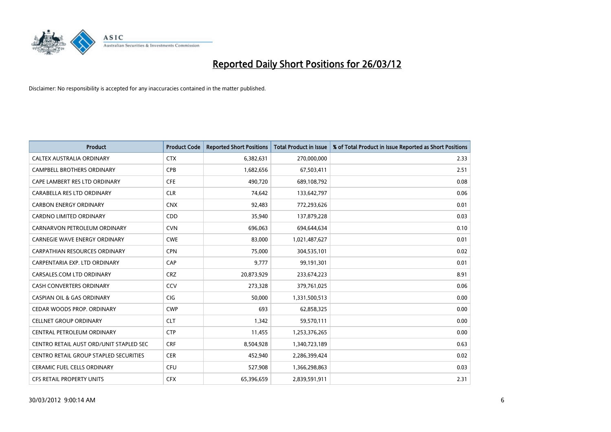

| <b>Product</b>                          | <b>Product Code</b> | <b>Reported Short Positions</b> | <b>Total Product in Issue</b> | % of Total Product in Issue Reported as Short Positions |
|-----------------------------------------|---------------------|---------------------------------|-------------------------------|---------------------------------------------------------|
| CALTEX AUSTRALIA ORDINARY               | <b>CTX</b>          | 6,382,631                       | 270,000,000                   | 2.33                                                    |
| CAMPBELL BROTHERS ORDINARY              | <b>CPB</b>          | 1,682,656                       | 67,503,411                    | 2.51                                                    |
| CAPE LAMBERT RES LTD ORDINARY           | <b>CFE</b>          | 490,720                         | 689,108,792                   | 0.08                                                    |
| CARABELLA RES LTD ORDINARY              | <b>CLR</b>          | 74,642                          | 133,642,797                   | 0.06                                                    |
| <b>CARBON ENERGY ORDINARY</b>           | <b>CNX</b>          | 92,483                          | 772,293,626                   | 0.01                                                    |
| <b>CARDNO LIMITED ORDINARY</b>          | CDD                 | 35,940                          | 137,879,228                   | 0.03                                                    |
| CARNARVON PETROLEUM ORDINARY            | <b>CVN</b>          | 696,063                         | 694,644,634                   | 0.10                                                    |
| <b>CARNEGIE WAVE ENERGY ORDINARY</b>    | <b>CWE</b>          | 83,000                          | 1,021,487,627                 | 0.01                                                    |
| CARPATHIAN RESOURCES ORDINARY           | <b>CPN</b>          | 75,000                          | 304,535,101                   | 0.02                                                    |
| CARPENTARIA EXP. LTD ORDINARY           | CAP                 | 9,777                           | 99,191,301                    | 0.01                                                    |
| CARSALES.COM LTD ORDINARY               | <b>CRZ</b>          | 20,873,929                      | 233,674,223                   | 8.91                                                    |
| CASH CONVERTERS ORDINARY                | CCV                 | 273,328                         | 379,761,025                   | 0.06                                                    |
| <b>CASPIAN OIL &amp; GAS ORDINARY</b>   | <b>CIG</b>          | 50,000                          | 1,331,500,513                 | 0.00                                                    |
| CEDAR WOODS PROP. ORDINARY              | <b>CWP</b>          | 693                             | 62,858,325                    | 0.00                                                    |
| <b>CELLNET GROUP ORDINARY</b>           | <b>CLT</b>          | 1,342                           | 59,570,111                    | 0.00                                                    |
| CENTRAL PETROLEUM ORDINARY              | <b>CTP</b>          | 11,455                          | 1,253,376,265                 | 0.00                                                    |
| CENTRO RETAIL AUST ORD/UNIT STAPLED SEC | <b>CRF</b>          | 8,504,928                       | 1,340,723,189                 | 0.63                                                    |
| CENTRO RETAIL GROUP STAPLED SECURITIES  | <b>CER</b>          | 452,940                         | 2,286,399,424                 | 0.02                                                    |
| CERAMIC FUEL CELLS ORDINARY             | <b>CFU</b>          | 527,908                         | 1,366,298,863                 | 0.03                                                    |
| CFS RETAIL PROPERTY UNITS               | <b>CFX</b>          | 65,396,659                      | 2,839,591,911                 | 2.31                                                    |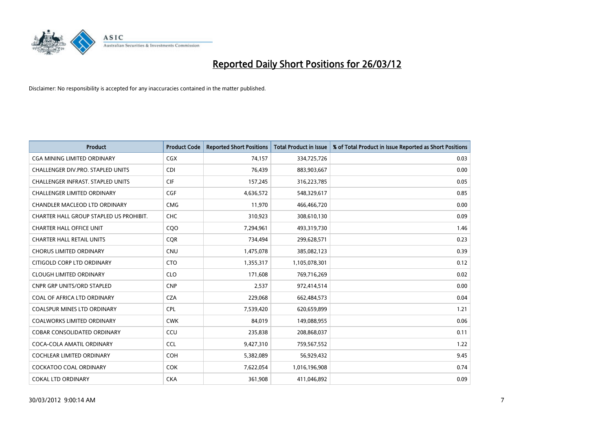

| <b>Product</b>                           | <b>Product Code</b> | <b>Reported Short Positions</b> | <b>Total Product in Issue</b> | % of Total Product in Issue Reported as Short Positions |
|------------------------------------------|---------------------|---------------------------------|-------------------------------|---------------------------------------------------------|
| <b>CGA MINING LIMITED ORDINARY</b>       | CGX                 | 74,157                          | 334,725,726                   | 0.03                                                    |
| CHALLENGER DIV.PRO. STAPLED UNITS        | <b>CDI</b>          | 76,439                          | 883,903,667                   | 0.00                                                    |
| <b>CHALLENGER INFRAST, STAPLED UNITS</b> | <b>CIF</b>          | 157,245                         | 316,223,785                   | 0.05                                                    |
| CHALLENGER LIMITED ORDINARY              | <b>CGF</b>          | 4,636,572                       | 548,329,617                   | 0.85                                                    |
| CHANDLER MACLEOD LTD ORDINARY            | <b>CMG</b>          | 11,970                          | 466,466,720                   | 0.00                                                    |
| CHARTER HALL GROUP STAPLED US PROHIBIT.  | CHC                 | 310,923                         | 308,610,130                   | 0.09                                                    |
| <b>CHARTER HALL OFFICE UNIT</b>          | COO                 | 7,294,961                       | 493,319,730                   | 1.46                                                    |
| <b>CHARTER HALL RETAIL UNITS</b>         | <b>COR</b>          | 734,494                         | 299,628,571                   | 0.23                                                    |
| <b>CHORUS LIMITED ORDINARY</b>           | <b>CNU</b>          | 1,475,078                       | 385,082,123                   | 0.39                                                    |
| CITIGOLD CORP LTD ORDINARY               | <b>CTO</b>          | 1,355,317                       | 1,105,078,301                 | 0.12                                                    |
| <b>CLOUGH LIMITED ORDINARY</b>           | <b>CLO</b>          | 171,608                         | 769,716,269                   | 0.02                                                    |
| <b>CNPR GRP UNITS/ORD STAPLED</b>        | <b>CNP</b>          | 2,537                           | 972,414,514                   | 0.00                                                    |
| COAL OF AFRICA LTD ORDINARY              | <b>CZA</b>          | 229,068                         | 662,484,573                   | 0.04                                                    |
| <b>COALSPUR MINES LTD ORDINARY</b>       | <b>CPL</b>          | 7,539,420                       | 620,659,899                   | 1.21                                                    |
| <b>COALWORKS LIMITED ORDINARY</b>        | <b>CWK</b>          | 84,019                          | 149,088,955                   | 0.06                                                    |
| COBAR CONSOLIDATED ORDINARY              | CCU                 | 235,838                         | 208,868,037                   | 0.11                                                    |
| COCA-COLA AMATIL ORDINARY                | <b>CCL</b>          | 9,427,310                       | 759,567,552                   | 1.22                                                    |
| COCHLEAR LIMITED ORDINARY                | <b>COH</b>          | 5,382,089                       | 56,929,432                    | 9.45                                                    |
| <b>COCKATOO COAL ORDINARY</b>            | COK                 | 7,622,054                       | 1,016,196,908                 | 0.74                                                    |
| <b>COKAL LTD ORDINARY</b>                | <b>CKA</b>          | 361,908                         | 411,046,892                   | 0.09                                                    |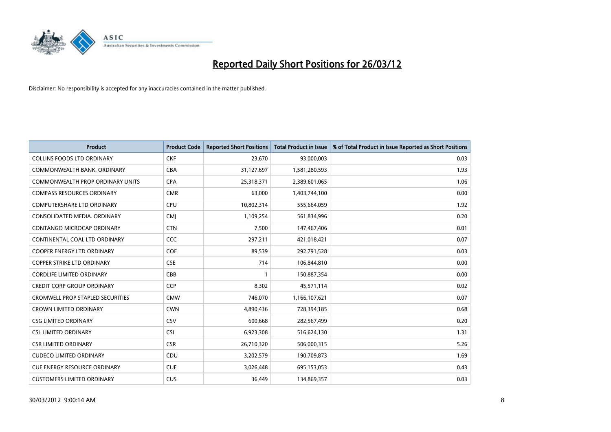

| <b>Product</b>                          | <b>Product Code</b> | <b>Reported Short Positions</b> | <b>Total Product in Issue</b> | % of Total Product in Issue Reported as Short Positions |
|-----------------------------------------|---------------------|---------------------------------|-------------------------------|---------------------------------------------------------|
| <b>COLLINS FOODS LTD ORDINARY</b>       | <b>CKF</b>          | 23,670                          | 93,000,003                    | 0.03                                                    |
| COMMONWEALTH BANK, ORDINARY             | <b>CBA</b>          | 31,127,697                      | 1,581,280,593                 | 1.93                                                    |
| COMMONWEALTH PROP ORDINARY UNITS        | <b>CPA</b>          | 25,318,371                      | 2,389,601,065                 | 1.06                                                    |
| <b>COMPASS RESOURCES ORDINARY</b>       | <b>CMR</b>          | 63,000                          | 1,403,744,100                 | 0.00                                                    |
| <b>COMPUTERSHARE LTD ORDINARY</b>       | <b>CPU</b>          | 10,802,314                      | 555,664,059                   | 1.92                                                    |
| CONSOLIDATED MEDIA. ORDINARY            | <b>CMI</b>          | 1,109,254                       | 561,834,996                   | 0.20                                                    |
| CONTANGO MICROCAP ORDINARY              | <b>CTN</b>          | 7,500                           | 147,467,406                   | 0.01                                                    |
| CONTINENTAL COAL LTD ORDINARY           | <b>CCC</b>          | 297,211                         | 421,018,421                   | 0.07                                                    |
| <b>COOPER ENERGY LTD ORDINARY</b>       | <b>COE</b>          | 89,539                          | 292,791,528                   | 0.03                                                    |
| <b>COPPER STRIKE LTD ORDINARY</b>       | <b>CSE</b>          | 714                             | 106,844,810                   | 0.00                                                    |
| <b>CORDLIFE LIMITED ORDINARY</b>        | CBB                 |                                 | 150,887,354                   | 0.00                                                    |
| <b>CREDIT CORP GROUP ORDINARY</b>       | <b>CCP</b>          | 8,302                           | 45,571,114                    | 0.02                                                    |
| <b>CROMWELL PROP STAPLED SECURITIES</b> | <b>CMW</b>          | 746,070                         | 1,166,107,621                 | 0.07                                                    |
| <b>CROWN LIMITED ORDINARY</b>           | <b>CWN</b>          | 4,890,436                       | 728,394,185                   | 0.68                                                    |
| <b>CSG LIMITED ORDINARY</b>             | CSV                 | 600,668                         | 282,567,499                   | 0.20                                                    |
| <b>CSL LIMITED ORDINARY</b>             | <b>CSL</b>          | 6,923,308                       | 516,624,130                   | 1.31                                                    |
| <b>CSR LIMITED ORDINARY</b>             | <b>CSR</b>          | 26,710,320                      | 506,000,315                   | 5.26                                                    |
| <b>CUDECO LIMITED ORDINARY</b>          | CDU                 | 3,202,579                       | 190,709,873                   | 1.69                                                    |
| <b>CUE ENERGY RESOURCE ORDINARY</b>     | <b>CUE</b>          | 3,026,448                       | 695,153,053                   | 0.43                                                    |
| <b>CUSTOMERS LIMITED ORDINARY</b>       | <b>CUS</b>          | 36,449                          | 134,869,357                   | 0.03                                                    |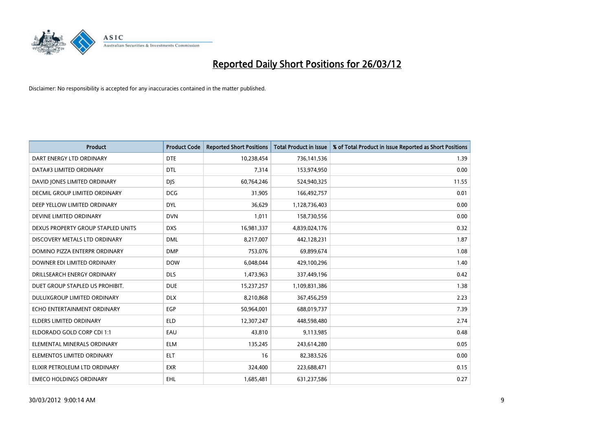

| <b>Product</b>                     | <b>Product Code</b> | <b>Reported Short Positions</b> | <b>Total Product in Issue</b> | % of Total Product in Issue Reported as Short Positions |
|------------------------------------|---------------------|---------------------------------|-------------------------------|---------------------------------------------------------|
| DART ENERGY LTD ORDINARY           | <b>DTE</b>          | 10,238,454                      | 736,141,536                   | 1.39                                                    |
| DATA#3 LIMITED ORDINARY            | <b>DTL</b>          | 7,314                           | 153,974,950                   | 0.00                                                    |
| DAVID JONES LIMITED ORDINARY       | <b>DJS</b>          | 60,764,246                      | 524,940,325                   | 11.55                                                   |
| DECMIL GROUP LIMITED ORDINARY      | <b>DCG</b>          | 31,905                          | 166,492,757                   | 0.01                                                    |
| DEEP YELLOW LIMITED ORDINARY       | <b>DYL</b>          | 36,629                          | 1,128,736,403                 | 0.00                                                    |
| DEVINE LIMITED ORDINARY            | <b>DVN</b>          | 1,011                           | 158,730,556                   | 0.00                                                    |
| DEXUS PROPERTY GROUP STAPLED UNITS | <b>DXS</b>          | 16,981,337                      | 4,839,024,176                 | 0.32                                                    |
| DISCOVERY METALS LTD ORDINARY      | <b>DML</b>          | 8,217,007                       | 442,128,231                   | 1.87                                                    |
| DOMINO PIZZA ENTERPR ORDINARY      | <b>DMP</b>          | 753,076                         | 69,899,674                    | 1.08                                                    |
| DOWNER EDI LIMITED ORDINARY        | <b>DOW</b>          | 6,048,044                       | 429,100,296                   | 1.40                                                    |
| DRILLSEARCH ENERGY ORDINARY        | <b>DLS</b>          | 1,473,963                       | 337,449,196                   | 0.42                                                    |
| DUET GROUP STAPLED US PROHIBIT.    | <b>DUE</b>          | 15,237,257                      | 1,109,831,386                 | 1.38                                                    |
| DULUXGROUP LIMITED ORDINARY        | <b>DLX</b>          | 8,210,868                       | 367,456,259                   | 2.23                                                    |
| ECHO ENTERTAINMENT ORDINARY        | <b>EGP</b>          | 50,964,001                      | 688,019,737                   | 7.39                                                    |
| ELDERS LIMITED ORDINARY            | <b>ELD</b>          | 12,307,247                      | 448,598,480                   | 2.74                                                    |
| ELDORADO GOLD CORP CDI 1:1         | EAU                 | 43,810                          | 9,113,985                     | 0.48                                                    |
| ELEMENTAL MINERALS ORDINARY        | <b>ELM</b>          | 135,245                         | 243,614,280                   | 0.05                                                    |
| ELEMENTOS LIMITED ORDINARY         | ELT                 | 16                              | 82,383,526                    | 0.00                                                    |
| ELIXIR PETROLEUM LTD ORDINARY      | <b>EXR</b>          | 324,400                         | 223,688,471                   | 0.15                                                    |
| <b>EMECO HOLDINGS ORDINARY</b>     | <b>EHL</b>          | 1,685,481                       | 631,237,586                   | 0.27                                                    |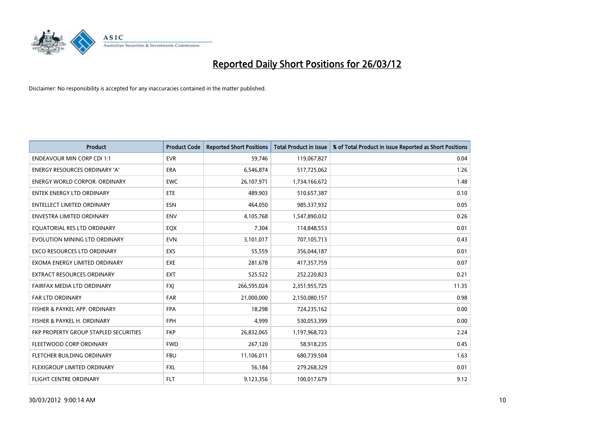

| <b>Product</b>                        | <b>Product Code</b> | <b>Reported Short Positions</b> | <b>Total Product in Issue</b> | % of Total Product in Issue Reported as Short Positions |
|---------------------------------------|---------------------|---------------------------------|-------------------------------|---------------------------------------------------------|
| <b>ENDEAVOUR MIN CORP CDI 1:1</b>     | <b>EVR</b>          | 59,746                          | 119,067,827                   | 0.04                                                    |
| ENERGY RESOURCES ORDINARY 'A'         | ERA                 | 6,546,874                       | 517,725,062                   | 1.26                                                    |
| <b>ENERGY WORLD CORPOR, ORDINARY</b>  | <b>EWC</b>          | 26,107,971                      | 1,734,166,672                 | 1.48                                                    |
| ENTEK ENERGY LTD ORDINARY             | <b>ETE</b>          | 489,903                         | 510,657,387                   | 0.10                                                    |
| <b>ENTELLECT LIMITED ORDINARY</b>     | <b>ESN</b>          | 464,050                         | 985,337,932                   | 0.05                                                    |
| <b>ENVESTRA LIMITED ORDINARY</b>      | <b>ENV</b>          | 4,105,768                       | 1,547,890,032                 | 0.26                                                    |
| EQUATORIAL RES LTD ORDINARY           | EQX                 | 7,304                           | 114,848,553                   | 0.01                                                    |
| EVOLUTION MINING LTD ORDINARY         | <b>EVN</b>          | 3,101,017                       | 707,105,713                   | 0.43                                                    |
| <b>EXCO RESOURCES LTD ORDINARY</b>    | EXS                 | 55,559                          | 356,044,187                   | 0.01                                                    |
| EXOMA ENERGY LIMITED ORDINARY         | <b>EXE</b>          | 281,678                         | 417,357,759                   | 0.07                                                    |
| EXTRACT RESOURCES ORDINARY            | <b>EXT</b>          | 525,522                         | 252,220,823                   | 0.21                                                    |
| FAIRFAX MEDIA LTD ORDINARY            | <b>FXJ</b>          | 266,595,024                     | 2,351,955,725                 | 11.35                                                   |
| <b>FAR LTD ORDINARY</b>               | <b>FAR</b>          | 21,000,000                      | 2,150,080,157                 | 0.98                                                    |
| FISHER & PAYKEL APP. ORDINARY         | <b>FPA</b>          | 18,298                          | 724,235,162                   | 0.00                                                    |
| FISHER & PAYKEL H. ORDINARY           | <b>FPH</b>          | 4.999                           | 530,053,399                   | 0.00                                                    |
| FKP PROPERTY GROUP STAPLED SECURITIES | <b>FKP</b>          | 26,832,065                      | 1,197,968,723                 | 2.24                                                    |
| FLEETWOOD CORP ORDINARY               | <b>FWD</b>          | 267,120                         | 58,918,235                    | 0.45                                                    |
| FLETCHER BUILDING ORDINARY            | <b>FBU</b>          | 11,106,011                      | 680,739,504                   | 1.63                                                    |
| FLEXIGROUP LIMITED ORDINARY           | <b>FXL</b>          | 56,184                          | 279,268,329                   | 0.01                                                    |
| FLIGHT CENTRE ORDINARY                | <b>FLT</b>          | 9,123,356                       | 100,017,679                   | 9.12                                                    |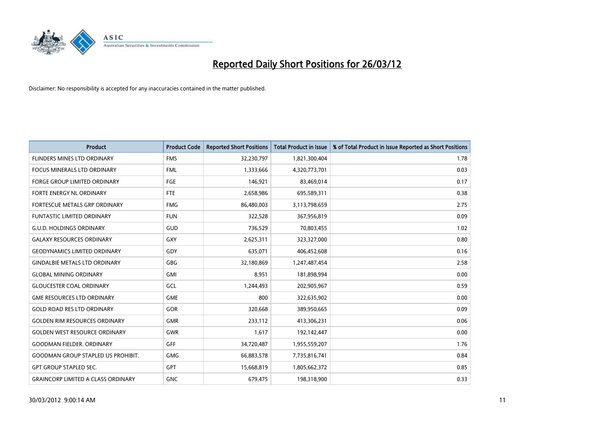

| <b>Product</b>                            | <b>Product Code</b> | <b>Reported Short Positions</b> | <b>Total Product in Issue</b> | % of Total Product in Issue Reported as Short Positions |
|-------------------------------------------|---------------------|---------------------------------|-------------------------------|---------------------------------------------------------|
| FLINDERS MINES LTD ORDINARY               | <b>FMS</b>          | 32,230,797                      | 1,821,300,404                 | 1.78                                                    |
| FOCUS MINERALS LTD ORDINARY               | <b>FML</b>          | 1,333,666                       | 4,320,773,701                 | 0.03                                                    |
| <b>FORGE GROUP LIMITED ORDINARY</b>       | FGE                 | 146,921                         | 83,469,014                    | 0.17                                                    |
| FORTE ENERGY NL ORDINARY                  | FTE                 | 2,658,986                       | 695,589,311                   | 0.38                                                    |
| FORTESCUE METALS GRP ORDINARY             | <b>FMG</b>          | 86,480,003                      | 3,113,798,659                 | 2.75                                                    |
| <b>FUNTASTIC LIMITED ORDINARY</b>         | <b>FUN</b>          | 322,528                         | 367,956,819                   | 0.09                                                    |
| <b>G.U.D. HOLDINGS ORDINARY</b>           | GUD                 | 736,529                         | 70,803,455                    | 1.02                                                    |
| <b>GALAXY RESOURCES ORDINARY</b>          | GXY                 | 2,625,311                       | 323,327,000                   | 0.80                                                    |
| <b>GEODYNAMICS LIMITED ORDINARY</b>       | GDY                 | 635,071                         | 406,452,608                   | 0.16                                                    |
| <b>GINDALBIE METALS LTD ORDINARY</b>      | GBG                 | 32,180,869                      | 1,247,487,454                 | 2.58                                                    |
| <b>GLOBAL MINING ORDINARY</b>             | GMI                 | 8,951                           | 181,898,994                   | 0.00                                                    |
| <b>GLOUCESTER COAL ORDINARY</b>           | GCL                 | 1,244,493                       | 202,905,967                   | 0.59                                                    |
| <b>GME RESOURCES LTD ORDINARY</b>         | <b>GME</b>          | 800                             | 322,635,902                   | 0.00                                                    |
| <b>GOLD ROAD RES LTD ORDINARY</b>         | GOR                 | 320,668                         | 389,950,665                   | 0.09                                                    |
| <b>GOLDEN RIM RESOURCES ORDINARY</b>      | <b>GMR</b>          | 233,112                         | 413,306,231                   | 0.06                                                    |
| <b>GOLDEN WEST RESOURCE ORDINARY</b>      | GWR                 | 1,617                           | 192,142,447                   | 0.00                                                    |
| <b>GOODMAN FIELDER, ORDINARY</b>          | GFF                 | 34,720,487                      | 1,955,559,207                 | 1.76                                                    |
| <b>GOODMAN GROUP STAPLED US PROHIBIT.</b> | <b>GMG</b>          | 66,883,578                      | 7,735,816,741                 | 0.84                                                    |
| <b>GPT GROUP STAPLED SEC.</b>             | <b>GPT</b>          | 15,668,819                      | 1,805,662,372                 | 0.85                                                    |
| <b>GRAINCORP LIMITED A CLASS ORDINARY</b> | <b>GNC</b>          | 679,475                         | 198,318,900                   | 0.33                                                    |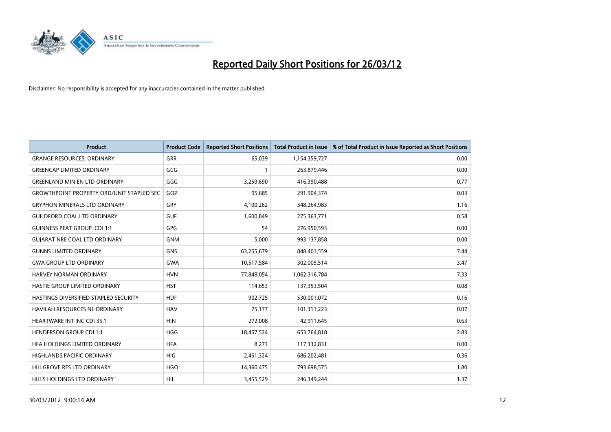

| <b>Product</b>                                   | <b>Product Code</b> | <b>Reported Short Positions</b> | <b>Total Product in Issue</b> | % of Total Product in Issue Reported as Short Positions |
|--------------------------------------------------|---------------------|---------------------------------|-------------------------------|---------------------------------------------------------|
| <b>GRANGE RESOURCES, ORDINARY</b>                | <b>GRR</b>          | 65,039                          | 1,154,359,727                 | 0.00                                                    |
| <b>GREENCAP LIMITED ORDINARY</b>                 | GCG                 |                                 | 263,879,446                   | 0.00                                                    |
| <b>GREENLAND MIN EN LTD ORDINARY</b>             | GGG                 | 3,259,690                       | 416,390,488                   | 0.77                                                    |
| <b>GROWTHPOINT PROPERTY ORD/UNIT STAPLED SEC</b> | GOZ                 | 95,685                          | 291,904,374                   | 0.03                                                    |
| <b>GRYPHON MINERALS LTD ORDINARY</b>             | GRY                 | 4,100,262                       | 348,264,983                   | 1.16                                                    |
| <b>GUILDFORD COAL LTD ORDINARY</b>               | <b>GUF</b>          | 1,600,849                       | 275,363,771                   | 0.58                                                    |
| <b>GUINNESS PEAT GROUP. CDI 1:1</b>              | <b>GPG</b>          | 54                              | 276,950,593                   | 0.00                                                    |
| <b>GUIARAT NRE COAL LTD ORDINARY</b>             | <b>GNM</b>          | 5,000                           | 993,137,858                   | 0.00                                                    |
| <b>GUNNS LIMITED ORDINARY</b>                    | <b>GNS</b>          | 63,255,679                      | 848,401,559                   | 7.44                                                    |
| <b>GWA GROUP LTD ORDINARY</b>                    | <b>GWA</b>          | 10,517,584                      | 302,005,514                   | 3.47                                                    |
| HARVEY NORMAN ORDINARY                           | <b>HVN</b>          | 77,848,054                      | 1,062,316,784                 | 7.33                                                    |
| HASTIE GROUP LIMITED ORDINARY                    | <b>HST</b>          | 114,653                         | 137,353,504                   | 0.08                                                    |
| HASTINGS DIVERSIFIED STAPLED SECURITY            | <b>HDF</b>          | 902,725                         | 530,001,072                   | 0.16                                                    |
| <b>HAVILAH RESOURCES NL ORDINARY</b>             | <b>HAV</b>          | 75,177                          | 101,311,223                   | 0.07                                                    |
| <b>HEARTWARE INT INC CDI 35:1</b>                | <b>HIN</b>          | 272,008                         | 42,911,645                    | 0.63                                                    |
| <b>HENDERSON GROUP CDI 1:1</b>                   | <b>HGG</b>          | 18,457,524                      | 653,764,818                   | 2.83                                                    |
| HFA HOLDINGS LIMITED ORDINARY                    | <b>HFA</b>          | 8,273                           | 117,332,831                   | 0.00                                                    |
| HIGHLANDS PACIFIC ORDINARY                       | <b>HIG</b>          | 2,451,324                       | 686,202,481                   | 0.36                                                    |
| HILLGROVE RES LTD ORDINARY                       | <b>HGO</b>          | 14,360,475                      | 793,698,575                   | 1.80                                                    |
| HILLS HOLDINGS LTD ORDINARY                      | HIL                 | 3,455,529                       | 246,349,244                   | 1.37                                                    |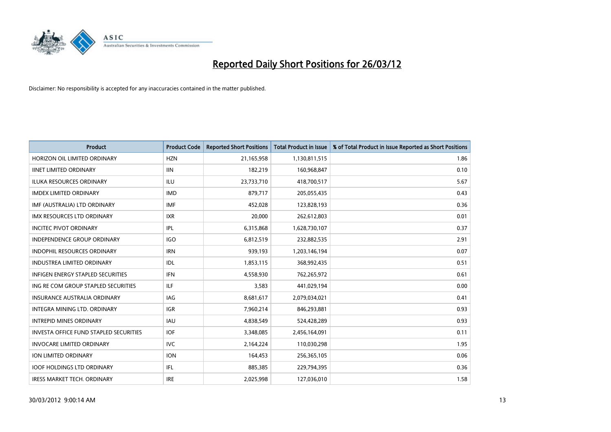

| <b>Product</b>                                | <b>Product Code</b> | <b>Reported Short Positions</b> | <b>Total Product in Issue</b> | % of Total Product in Issue Reported as Short Positions |
|-----------------------------------------------|---------------------|---------------------------------|-------------------------------|---------------------------------------------------------|
| HORIZON OIL LIMITED ORDINARY                  | <b>HZN</b>          | 21,165,958                      | 1,130,811,515                 | 1.86                                                    |
| <b>IINET LIMITED ORDINARY</b>                 | <b>IIN</b>          | 182,219                         | 160,968,847                   | 0.10                                                    |
| <b>ILUKA RESOURCES ORDINARY</b>               | ILU.                | 23,733,710                      | 418,700,517                   | 5.67                                                    |
| <b>IMDEX LIMITED ORDINARY</b>                 | <b>IMD</b>          | 879,717                         | 205,055,435                   | 0.43                                                    |
| IMF (AUSTRALIA) LTD ORDINARY                  | <b>IMF</b>          | 452,028                         | 123,828,193                   | 0.36                                                    |
| <b>IMX RESOURCES LTD ORDINARY</b>             | <b>IXR</b>          | 20,000                          | 262,612,803                   | 0.01                                                    |
| <b>INCITEC PIVOT ORDINARY</b>                 | IPL                 | 6,315,868                       | 1,628,730,107                 | 0.37                                                    |
| <b>INDEPENDENCE GROUP ORDINARY</b>            | <b>IGO</b>          | 6,812,519                       | 232,882,535                   | 2.91                                                    |
| <b>INDOPHIL RESOURCES ORDINARY</b>            | <b>IRN</b>          | 939,193                         | 1,203,146,194                 | 0.07                                                    |
| <b>INDUSTREA LIMITED ORDINARY</b>             | IDL                 | 1,853,115                       | 368,992,435                   | 0.51                                                    |
| <b>INFIGEN ENERGY STAPLED SECURITIES</b>      | <b>IFN</b>          | 4,558,930                       | 762,265,972                   | 0.61                                                    |
| ING RE COM GROUP STAPLED SECURITIES           | ILF.                | 3,583                           | 441,029,194                   | 0.00                                                    |
| <b>INSURANCE AUSTRALIA ORDINARY</b>           | <b>IAG</b>          | 8,681,617                       | 2,079,034,021                 | 0.41                                                    |
| INTEGRA MINING LTD, ORDINARY                  | <b>IGR</b>          | 7,960,214                       | 846,293,881                   | 0.93                                                    |
| <b>INTREPID MINES ORDINARY</b>                | <b>IAU</b>          | 4,838,549                       | 524,428,289                   | 0.93                                                    |
| <b>INVESTA OFFICE FUND STAPLED SECURITIES</b> | <b>IOF</b>          | 3,348,085                       | 2,456,164,091                 | 0.11                                                    |
| <b>INVOCARE LIMITED ORDINARY</b>              | <b>IVC</b>          | 2,164,224                       | 110,030,298                   | 1.95                                                    |
| ION LIMITED ORDINARY                          | <b>ION</b>          | 164,453                         | 256,365,105                   | 0.06                                                    |
| <b>IOOF HOLDINGS LTD ORDINARY</b>             | IFL                 | 885,385                         | 229,794,395                   | 0.36                                                    |
| <b>IRESS MARKET TECH. ORDINARY</b>            | <b>IRE</b>          | 2,025,998                       | 127,036,010                   | 1.58                                                    |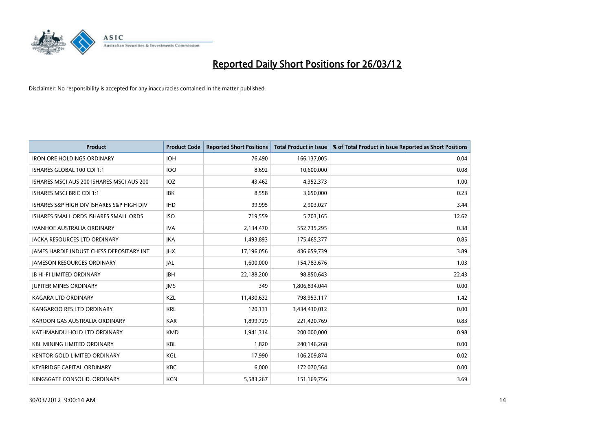

| <b>Product</b>                            | <b>Product Code</b> | <b>Reported Short Positions</b> | <b>Total Product in Issue</b> | % of Total Product in Issue Reported as Short Positions |
|-------------------------------------------|---------------------|---------------------------------|-------------------------------|---------------------------------------------------------|
| <b>IRON ORE HOLDINGS ORDINARY</b>         | <b>IOH</b>          | 76,490                          | 166,137,005                   | 0.04                                                    |
| ISHARES GLOBAL 100 CDI 1:1                | 100                 | 8,692                           | 10,600,000                    | 0.08                                                    |
| ISHARES MSCI AUS 200 ISHARES MSCI AUS 200 | IOZ                 | 43,462                          | 4,352,373                     | 1.00                                                    |
| <b>ISHARES MSCI BRIC CDI 1:1</b>          | <b>IBK</b>          | 8,558                           | 3,650,000                     | 0.23                                                    |
| ISHARES S&P HIGH DIV ISHARES S&P HIGH DIV | <b>IHD</b>          | 99,995                          | 2,903,027                     | 3.44                                                    |
| ISHARES SMALL ORDS ISHARES SMALL ORDS     | <b>ISO</b>          | 719,559                         | 5,703,165                     | 12.62                                                   |
| <b>IVANHOE AUSTRALIA ORDINARY</b>         | <b>IVA</b>          | 2,134,470                       | 552,735,295                   | 0.38                                                    |
| <b>JACKA RESOURCES LTD ORDINARY</b>       | <b>JKA</b>          | 1,493,893                       | 175,465,377                   | 0.85                                                    |
| JAMES HARDIE INDUST CHESS DEPOSITARY INT  | <b>JHX</b>          | 17,196,056                      | 436,659,739                   | 3.89                                                    |
| <b>JAMESON RESOURCES ORDINARY</b>         | <b>JAL</b>          | 1,600,000                       | 154,783,676                   | 1.03                                                    |
| <b>JB HI-FI LIMITED ORDINARY</b>          | <b>JBH</b>          | 22,188,200                      | 98,850,643                    | 22.43                                                   |
| <b>JUPITER MINES ORDINARY</b>             | <b>IMS</b>          | 349                             | 1,806,834,044                 | 0.00                                                    |
| <b>KAGARA LTD ORDINARY</b>                | KZL                 | 11,430,632                      | 798,953,117                   | 1.42                                                    |
| KANGAROO RES LTD ORDINARY                 | <b>KRL</b>          | 120,131                         | 3,434,430,012                 | 0.00                                                    |
| KAROON GAS AUSTRALIA ORDINARY             | <b>KAR</b>          | 1,899,729                       | 221,420,769                   | 0.83                                                    |
| KATHMANDU HOLD LTD ORDINARY               | <b>KMD</b>          | 1,941,314                       | 200,000,000                   | 0.98                                                    |
| <b>KBL MINING LIMITED ORDINARY</b>        | <b>KBL</b>          | 1,820                           | 240,146,268                   | 0.00                                                    |
| <b>KENTOR GOLD LIMITED ORDINARY</b>       | KGL                 | 17.990                          | 106,209,874                   | 0.02                                                    |
| <b>KEYBRIDGE CAPITAL ORDINARY</b>         | <b>KBC</b>          | 6,000                           | 172,070,564                   | 0.00                                                    |
| KINGSGATE CONSOLID. ORDINARY              | <b>KCN</b>          | 5,583,267                       | 151,169,756                   | 3.69                                                    |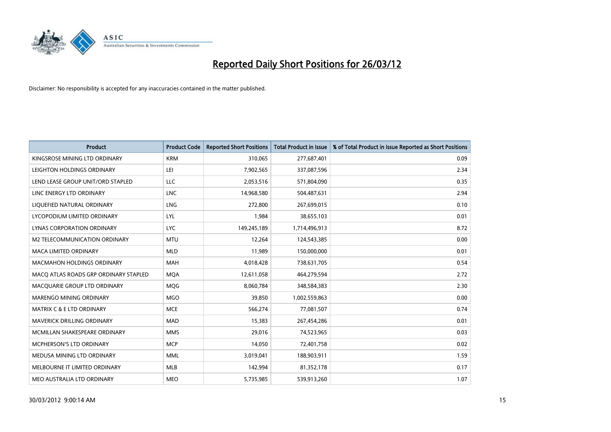

| <b>Product</b>                        | <b>Product Code</b> | <b>Reported Short Positions</b> | <b>Total Product in Issue</b> | % of Total Product in Issue Reported as Short Positions |
|---------------------------------------|---------------------|---------------------------------|-------------------------------|---------------------------------------------------------|
| KINGSROSE MINING LTD ORDINARY         | <b>KRM</b>          | 310,065                         | 277,687,401                   | 0.09                                                    |
| LEIGHTON HOLDINGS ORDINARY            | LEI                 | 7,902,565                       | 337,087,596                   | 2.34                                                    |
| LEND LEASE GROUP UNIT/ORD STAPLED     | <b>LLC</b>          | 2,053,516                       | 571,804,090                   | 0.35                                                    |
| LINC ENERGY LTD ORDINARY              | <b>LNC</b>          | 14,968,580                      | 504,487,631                   | 2.94                                                    |
| LIQUEFIED NATURAL ORDINARY            | LNG                 | 272,800                         | 267,699,015                   | 0.10                                                    |
| LYCOPODIUM LIMITED ORDINARY           | LYL                 | 1,984                           | 38,655,103                    | 0.01                                                    |
| LYNAS CORPORATION ORDINARY            | <b>LYC</b>          | 149,245,189                     | 1,714,496,913                 | 8.72                                                    |
| M2 TELECOMMUNICATION ORDINARY         | <b>MTU</b>          | 12,264                          | 124,543,385                   | 0.00                                                    |
| <b>MACA LIMITED ORDINARY</b>          | <b>MLD</b>          | 11,989                          | 150,000,000                   | 0.01                                                    |
| <b>MACMAHON HOLDINGS ORDINARY</b>     | <b>MAH</b>          | 4,018,428                       | 738,631,705                   | 0.54                                                    |
| MACO ATLAS ROADS GRP ORDINARY STAPLED | <b>MOA</b>          | 12,611,058                      | 464,279,594                   | 2.72                                                    |
| MACQUARIE GROUP LTD ORDINARY          | MQG                 | 8,060,784                       | 348,584,383                   | 2.30                                                    |
| MARENGO MINING ORDINARY               | <b>MGO</b>          | 39,850                          | 1,002,559,863                 | 0.00                                                    |
| <b>MATRIX C &amp; E LTD ORDINARY</b>  | <b>MCE</b>          | 566,274                         | 77,081,507                    | 0.74                                                    |
| MAVERICK DRILLING ORDINARY            | <b>MAD</b>          | 15,383                          | 267,454,286                   | 0.01                                                    |
| MCMILLAN SHAKESPEARE ORDINARY         | <b>MMS</b>          | 29,016                          | 74,523,965                    | 0.03                                                    |
| MCPHERSON'S LTD ORDINARY              | <b>MCP</b>          | 14,050                          | 72,401,758                    | 0.02                                                    |
| MEDUSA MINING LTD ORDINARY            | <b>MML</b>          | 3,019,041                       | 188,903,911                   | 1.59                                                    |
| MELBOURNE IT LIMITED ORDINARY         | <b>MLB</b>          | 142,994                         | 81,352,178                    | 0.17                                                    |
| MEO AUSTRALIA LTD ORDINARY            | <b>MEO</b>          | 5,735,985                       | 539,913,260                   | 1.07                                                    |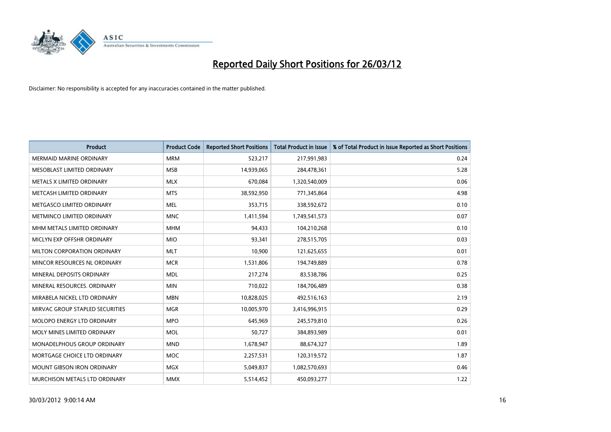

| <b>Product</b>                    | <b>Product Code</b> | <b>Reported Short Positions</b> | <b>Total Product in Issue</b> | % of Total Product in Issue Reported as Short Positions |
|-----------------------------------|---------------------|---------------------------------|-------------------------------|---------------------------------------------------------|
| <b>MERMAID MARINE ORDINARY</b>    | <b>MRM</b>          | 523,217                         | 217,991,983                   | 0.24                                                    |
| MESOBLAST LIMITED ORDINARY        | <b>MSB</b>          | 14,939,065                      | 284,478,361                   | 5.28                                                    |
| METALS X LIMITED ORDINARY         | <b>MLX</b>          | 670,084                         | 1,320,540,009                 | 0.06                                                    |
| METCASH LIMITED ORDINARY          | <b>MTS</b>          | 38,592,950                      | 771,345,864                   | 4.98                                                    |
| METGASCO LIMITED ORDINARY         | <b>MEL</b>          | 353,715                         | 338,592,672                   | 0.10                                                    |
| METMINCO LIMITED ORDINARY         | <b>MNC</b>          | 1,411,594                       | 1,749,541,573                 | 0.07                                                    |
| MHM METALS LIMITED ORDINARY       | <b>MHM</b>          | 94,433                          | 104,210,268                   | 0.10                                                    |
| MICLYN EXP OFFSHR ORDINARY        | <b>MIO</b>          | 93,341                          | 278,515,705                   | 0.03                                                    |
| MILTON CORPORATION ORDINARY       | <b>MLT</b>          | 10,900                          | 121,625,655                   | 0.01                                                    |
| MINCOR RESOURCES NL ORDINARY      | <b>MCR</b>          | 1,531,806                       | 194,749,889                   | 0.78                                                    |
| MINERAL DEPOSITS ORDINARY         | <b>MDL</b>          | 217,274                         | 83,538,786                    | 0.25                                                    |
| MINERAL RESOURCES, ORDINARY       | <b>MIN</b>          | 710,022                         | 184,706,489                   | 0.38                                                    |
| MIRABELA NICKEL LTD ORDINARY      | <b>MBN</b>          | 10,828,025                      | 492,516,163                   | 2.19                                                    |
| MIRVAC GROUP STAPLED SECURITIES   | <b>MGR</b>          | 10,005,970                      | 3,416,996,915                 | 0.29                                                    |
| MOLOPO ENERGY LTD ORDINARY        | <b>MPO</b>          | 645,969                         | 245,579,810                   | 0.26                                                    |
| MOLY MINES LIMITED ORDINARY       | MOL                 | 50,727                          | 384,893,989                   | 0.01                                                    |
| MONADELPHOUS GROUP ORDINARY       | <b>MND</b>          | 1,678,947                       | 88,674,327                    | 1.89                                                    |
| MORTGAGE CHOICE LTD ORDINARY      | <b>MOC</b>          | 2,257,531                       | 120,319,572                   | 1.87                                                    |
| <b>MOUNT GIBSON IRON ORDINARY</b> | <b>MGX</b>          | 5,049,837                       | 1,082,570,693                 | 0.46                                                    |
| MURCHISON METALS LTD ORDINARY     | <b>MMX</b>          | 5,514,452                       | 450,093,277                   | 1.22                                                    |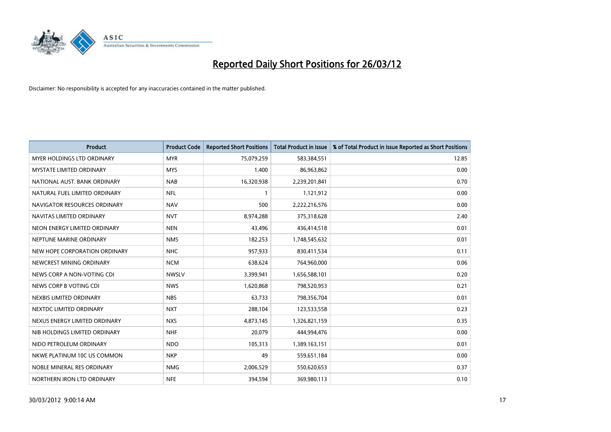

| <b>Product</b>                    | <b>Product Code</b> | <b>Reported Short Positions</b> | <b>Total Product in Issue</b> | % of Total Product in Issue Reported as Short Positions |
|-----------------------------------|---------------------|---------------------------------|-------------------------------|---------------------------------------------------------|
| <b>MYER HOLDINGS LTD ORDINARY</b> | <b>MYR</b>          | 75,079,259                      | 583,384,551                   | 12.85                                                   |
| <b>MYSTATE LIMITED ORDINARY</b>   | <b>MYS</b>          | 1,400                           | 86,963,862                    | 0.00                                                    |
| NATIONAL AUST. BANK ORDINARY      | <b>NAB</b>          | 16,320,938                      | 2,239,201,841                 | 0.70                                                    |
| NATURAL FUEL LIMITED ORDINARY     | <b>NFL</b>          | $\mathbf{1}$                    | 1,121,912                     | 0.00                                                    |
| NAVIGATOR RESOURCES ORDINARY      | <b>NAV</b>          | 500                             | 2,222,216,576                 | 0.00                                                    |
| NAVITAS LIMITED ORDINARY          | <b>NVT</b>          | 8,974,288                       | 375,318,628                   | 2.40                                                    |
| NEON ENERGY LIMITED ORDINARY      | <b>NEN</b>          | 43,496                          | 436,414,518                   | 0.01                                                    |
| NEPTUNE MARINE ORDINARY           | <b>NMS</b>          | 182,253                         | 1,748,545,632                 | 0.01                                                    |
| NEW HOPE CORPORATION ORDINARY     | <b>NHC</b>          | 957,933                         | 830,411,534                   | 0.11                                                    |
| NEWCREST MINING ORDINARY          | <b>NCM</b>          | 638,624                         | 764,960,000                   | 0.06                                                    |
| NEWS CORP A NON-VOTING CDI        | <b>NWSLV</b>        | 3,399,941                       | 1,656,588,101                 | 0.20                                                    |
| NEWS CORP B VOTING CDI            | <b>NWS</b>          | 1,620,868                       | 798,520,953                   | 0.21                                                    |
| NEXBIS LIMITED ORDINARY           | <b>NBS</b>          | 63,733                          | 798,356,704                   | 0.01                                                    |
| NEXTDC LIMITED ORDINARY           | <b>NXT</b>          | 288,104                         | 123,533,558                   | 0.23                                                    |
| NEXUS ENERGY LIMITED ORDINARY     | <b>NXS</b>          | 4,873,145                       | 1,326,821,159                 | 0.35                                                    |
| NIB HOLDINGS LIMITED ORDINARY     | <b>NHF</b>          | 20,079                          | 444,994,476                   | 0.00                                                    |
| NIDO PETROLEUM ORDINARY           | <b>NDO</b>          | 105,313                         | 1,389,163,151                 | 0.01                                                    |
| NKWE PLATINUM 10C US COMMON       | <b>NKP</b>          | 49                              | 559,651,184                   | 0.00                                                    |
| NOBLE MINERAL RES ORDINARY        | <b>NMG</b>          | 2,006,529                       | 550,620,653                   | 0.37                                                    |
| NORTHERN IRON LTD ORDINARY        | <b>NFE</b>          | 394,594                         | 369,980,113                   | 0.10                                                    |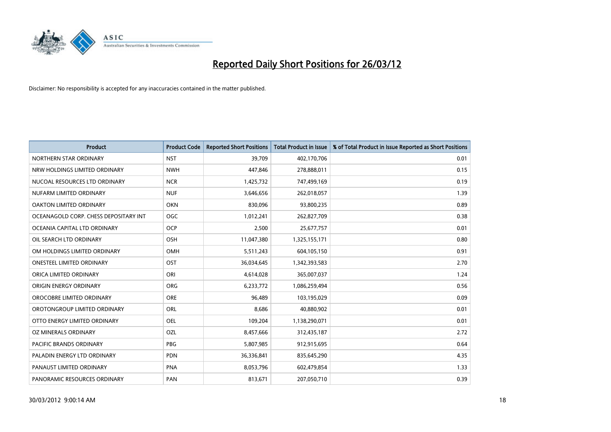

| <b>Product</b>                        | <b>Product Code</b> | <b>Reported Short Positions</b> | <b>Total Product in Issue</b> | % of Total Product in Issue Reported as Short Positions |
|---------------------------------------|---------------------|---------------------------------|-------------------------------|---------------------------------------------------------|
| NORTHERN STAR ORDINARY                | <b>NST</b>          | 39,709                          | 402,170,706                   | 0.01                                                    |
| NRW HOLDINGS LIMITED ORDINARY         | <b>NWH</b>          | 447,846                         | 278,888,011                   | 0.15                                                    |
| NUCOAL RESOURCES LTD ORDINARY         | <b>NCR</b>          | 1,425,732                       | 747,499,169                   | 0.19                                                    |
| NUFARM LIMITED ORDINARY               | <b>NUF</b>          | 3,646,656                       | 262,018,057                   | 1.39                                                    |
| <b>OAKTON LIMITED ORDINARY</b>        | <b>OKN</b>          | 830,096                         | 93,800,235                    | 0.89                                                    |
| OCEANAGOLD CORP. CHESS DEPOSITARY INT | <b>OGC</b>          | 1,012,241                       | 262,827,709                   | 0.38                                                    |
| OCEANIA CAPITAL LTD ORDINARY          | <b>OCP</b>          | 2,500                           | 25,677,757                    | 0.01                                                    |
| OIL SEARCH LTD ORDINARY               | OSH                 | 11,047,380                      | 1,325,155,171                 | 0.80                                                    |
| OM HOLDINGS LIMITED ORDINARY          | OMH                 | 5,511,243                       | 604,105,150                   | 0.91                                                    |
| <b>ONESTEEL LIMITED ORDINARY</b>      | OST                 | 36,034,645                      | 1,342,393,583                 | 2.70                                                    |
| ORICA LIMITED ORDINARY                | ORI                 | 4,614,028                       | 365,007,037                   | 1.24                                                    |
| ORIGIN ENERGY ORDINARY                | <b>ORG</b>          | 6,233,772                       | 1,086,259,494                 | 0.56                                                    |
| OROCOBRE LIMITED ORDINARY             | <b>ORE</b>          | 96,489                          | 103,195,029                   | 0.09                                                    |
| OROTONGROUP LIMITED ORDINARY          | ORL                 | 8,686                           | 40,880,902                    | 0.01                                                    |
| OTTO ENERGY LIMITED ORDINARY          | <b>OEL</b>          | 109,204                         | 1,138,290,071                 | 0.01                                                    |
| OZ MINERALS ORDINARY                  | <b>OZL</b>          | 8,457,666                       | 312,435,187                   | 2.72                                                    |
| PACIFIC BRANDS ORDINARY               | <b>PBG</b>          | 5,807,985                       | 912,915,695                   | 0.64                                                    |
| PALADIN ENERGY LTD ORDINARY           | <b>PDN</b>          | 36,336,841                      | 835,645,290                   | 4.35                                                    |
| PANAUST LIMITED ORDINARY              | <b>PNA</b>          | 8,053,796                       | 602,479,854                   | 1.33                                                    |
| PANORAMIC RESOURCES ORDINARY          | PAN                 | 813,671                         | 207,050,710                   | 0.39                                                    |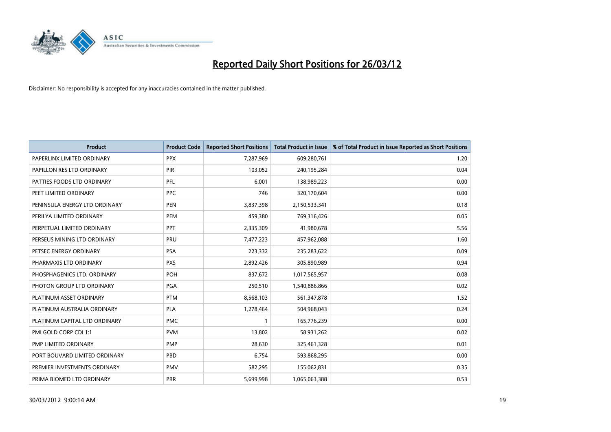

| <b>Product</b>                | <b>Product Code</b> | <b>Reported Short Positions</b> | <b>Total Product in Issue</b> | % of Total Product in Issue Reported as Short Positions |
|-------------------------------|---------------------|---------------------------------|-------------------------------|---------------------------------------------------------|
| PAPERLINX LIMITED ORDINARY    | <b>PPX</b>          | 7,287,969                       | 609,280,761                   | 1.20                                                    |
| PAPILLON RES LTD ORDINARY     | PIR                 | 103,052                         | 240,195,284                   | 0.04                                                    |
| PATTIES FOODS LTD ORDINARY    | PFL                 | 6,001                           | 138,989,223                   | 0.00                                                    |
| PEET LIMITED ORDINARY         | <b>PPC</b>          | 746                             | 320,170,604                   | 0.00                                                    |
| PENINSULA ENERGY LTD ORDINARY | <b>PEN</b>          | 3,837,398                       | 2,150,533,341                 | 0.18                                                    |
| PERILYA LIMITED ORDINARY      | PEM                 | 459,380                         | 769,316,426                   | 0.05                                                    |
| PERPETUAL LIMITED ORDINARY    | <b>PPT</b>          | 2,335,309                       | 41,980,678                    | 5.56                                                    |
| PERSEUS MINING LTD ORDINARY   | PRU                 | 7,477,223                       | 457,962,088                   | 1.60                                                    |
| PETSEC ENERGY ORDINARY        | <b>PSA</b>          | 223,332                         | 235,283,622                   | 0.09                                                    |
| PHARMAXIS LTD ORDINARY        | <b>PXS</b>          | 2,892,426                       | 305,890,989                   | 0.94                                                    |
| PHOSPHAGENICS LTD. ORDINARY   | POH                 | 837,672                         | 1,017,565,957                 | 0.08                                                    |
| PHOTON GROUP LTD ORDINARY     | PGA                 | 250,510                         | 1,540,886,866                 | 0.02                                                    |
| PLATINUM ASSET ORDINARY       | <b>PTM</b>          | 8,568,103                       | 561,347,878                   | 1.52                                                    |
| PLATINUM AUSTRALIA ORDINARY   | <b>PLA</b>          | 1,278,464                       | 504,968,043                   | 0.24                                                    |
| PLATINUM CAPITAL LTD ORDINARY | <b>PMC</b>          | $\mathbf{1}$                    | 165,776,239                   | 0.00                                                    |
| PMI GOLD CORP CDI 1:1         | <b>PVM</b>          | 13,802                          | 58,931,262                    | 0.02                                                    |
| PMP LIMITED ORDINARY          | <b>PMP</b>          | 28,630                          | 325,461,328                   | 0.01                                                    |
| PORT BOUVARD LIMITED ORDINARY | <b>PBD</b>          | 6,754                           | 593,868,295                   | 0.00                                                    |
| PREMIER INVESTMENTS ORDINARY  | <b>PMV</b>          | 582,295                         | 155,062,831                   | 0.35                                                    |
| PRIMA BIOMED LTD ORDINARY     | <b>PRR</b>          | 5,699,998                       | 1,065,063,388                 | 0.53                                                    |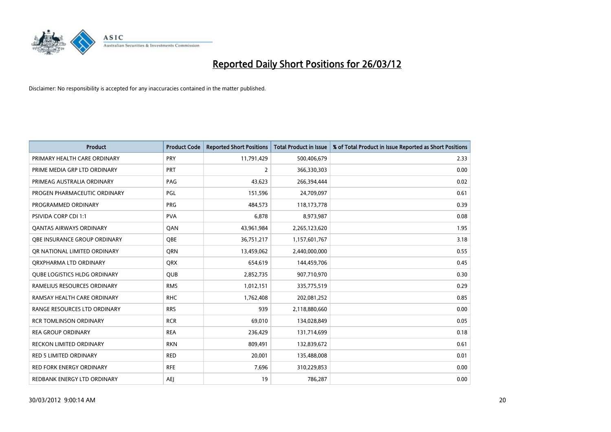

| <b>Product</b>                      | <b>Product Code</b> | <b>Reported Short Positions</b> | <b>Total Product in Issue</b> | % of Total Product in Issue Reported as Short Positions |
|-------------------------------------|---------------------|---------------------------------|-------------------------------|---------------------------------------------------------|
| PRIMARY HEALTH CARE ORDINARY        | <b>PRY</b>          | 11,791,429                      | 500,406,679                   | 2.33                                                    |
| PRIME MEDIA GRP LTD ORDINARY        | <b>PRT</b>          | $\overline{2}$                  | 366,330,303                   | 0.00                                                    |
| PRIMEAG AUSTRALIA ORDINARY          | PAG                 | 43,623                          | 266,394,444                   | 0.02                                                    |
| PROGEN PHARMACEUTIC ORDINARY        | PGL                 | 151,596                         | 24,709,097                    | 0.61                                                    |
| PROGRAMMED ORDINARY                 | <b>PRG</b>          | 484,573                         | 118,173,778                   | 0.39                                                    |
| PSIVIDA CORP CDI 1:1                | <b>PVA</b>          | 6,878                           | 8,973,987                     | 0.08                                                    |
| <b>QANTAS AIRWAYS ORDINARY</b>      | QAN                 | 43,961,984                      | 2,265,123,620                 | 1.95                                                    |
| OBE INSURANCE GROUP ORDINARY        | <b>OBE</b>          | 36,751,217                      | 1,157,601,767                 | 3.18                                                    |
| OR NATIONAL LIMITED ORDINARY        | <b>ORN</b>          | 13,459,062                      | 2,440,000,000                 | 0.55                                                    |
| ORXPHARMA LTD ORDINARY              | <b>QRX</b>          | 654,619                         | 144,459,706                   | 0.45                                                    |
| <b>QUBE LOGISTICS HLDG ORDINARY</b> | <b>QUB</b>          | 2,852,735                       | 907,710,970                   | 0.30                                                    |
| RAMELIUS RESOURCES ORDINARY         | <b>RMS</b>          | 1,012,151                       | 335,775,519                   | 0.29                                                    |
| RAMSAY HEALTH CARE ORDINARY         | <b>RHC</b>          | 1,762,408                       | 202,081,252                   | 0.85                                                    |
| RANGE RESOURCES LTD ORDINARY        | <b>RRS</b>          | 939                             | 2,118,880,660                 | 0.00                                                    |
| <b>RCR TOMLINSON ORDINARY</b>       | <b>RCR</b>          | 69,010                          | 134,028,849                   | 0.05                                                    |
| <b>REA GROUP ORDINARY</b>           | <b>REA</b>          | 236,429                         | 131,714,699                   | 0.18                                                    |
| <b>RECKON LIMITED ORDINARY</b>      | <b>RKN</b>          | 809,491                         | 132,839,672                   | 0.61                                                    |
| RED 5 LIMITED ORDINARY              | <b>RED</b>          | 20,001                          | 135,488,008                   | 0.01                                                    |
| <b>RED FORK ENERGY ORDINARY</b>     | <b>RFE</b>          | 7,696                           | 310,229,853                   | 0.00                                                    |
| REDBANK ENERGY LTD ORDINARY         | AEJ                 | 19                              | 786,287                       | 0.00                                                    |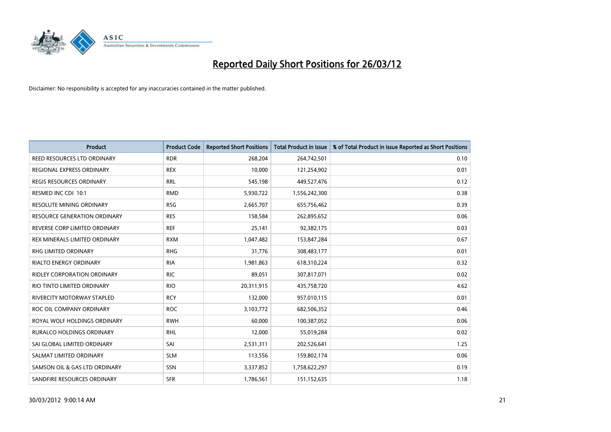

| <b>Product</b>                      | <b>Product Code</b> | <b>Reported Short Positions</b> | <b>Total Product in Issue</b> | % of Total Product in Issue Reported as Short Positions |
|-------------------------------------|---------------------|---------------------------------|-------------------------------|---------------------------------------------------------|
| REED RESOURCES LTD ORDINARY         | <b>RDR</b>          | 268,204                         | 264,742,501                   | 0.10                                                    |
| REGIONAL EXPRESS ORDINARY           | <b>REX</b>          | 10,000                          | 121,254,902                   | 0.01                                                    |
| <b>REGIS RESOURCES ORDINARY</b>     | <b>RRL</b>          | 545,198                         | 449,527,476                   | 0.12                                                    |
| RESMED INC CDI 10:1                 | <b>RMD</b>          | 5,930,722                       | 1,556,242,300                 | 0.38                                                    |
| <b>RESOLUTE MINING ORDINARY</b>     | <b>RSG</b>          | 2,665,707                       | 655,756,462                   | 0.39                                                    |
| <b>RESOURCE GENERATION ORDINARY</b> | <b>RES</b>          | 158,584                         | 262,895,652                   | 0.06                                                    |
| REVERSE CORP LIMITED ORDINARY       | <b>REF</b>          | 25,141                          | 92,382,175                    | 0.03                                                    |
| REX MINERALS LIMITED ORDINARY       | <b>RXM</b>          | 1,047,482                       | 153,847,284                   | 0.67                                                    |
| RHG LIMITED ORDINARY                | <b>RHG</b>          | 31,776                          | 308,483,177                   | 0.01                                                    |
| <b>RIALTO ENERGY ORDINARY</b>       | <b>RIA</b>          | 1,981,863                       | 618,310,224                   | 0.32                                                    |
| RIDLEY CORPORATION ORDINARY         | <b>RIC</b>          | 89,051                          | 307,817,071                   | 0.02                                                    |
| RIO TINTO LIMITED ORDINARY          | <b>RIO</b>          | 20,311,915                      | 435,758,720                   | 4.62                                                    |
| RIVERCITY MOTORWAY STAPLED          | <b>RCY</b>          | 132,000                         | 957,010,115                   | 0.01                                                    |
| ROC OIL COMPANY ORDINARY            | <b>ROC</b>          | 3,103,772                       | 682,506,352                   | 0.46                                                    |
| ROYAL WOLF HOLDINGS ORDINARY        | <b>RWH</b>          | 60,000                          | 100,387,052                   | 0.06                                                    |
| RURALCO HOLDINGS ORDINARY           | <b>RHL</b>          | 12,000                          | 55,019,284                    | 0.02                                                    |
| SAI GLOBAL LIMITED ORDINARY         | SAI                 | 2,531,311                       | 202,526,641                   | 1.25                                                    |
| SALMAT LIMITED ORDINARY             | <b>SLM</b>          | 113,556                         | 159,802,174                   | 0.06                                                    |
| SAMSON OIL & GAS LTD ORDINARY       | SSN                 | 3,337,852                       | 1,758,622,297                 | 0.19                                                    |
| SANDFIRE RESOURCES ORDINARY         | <b>SFR</b>          | 1,786,561                       | 151,152,635                   | 1.18                                                    |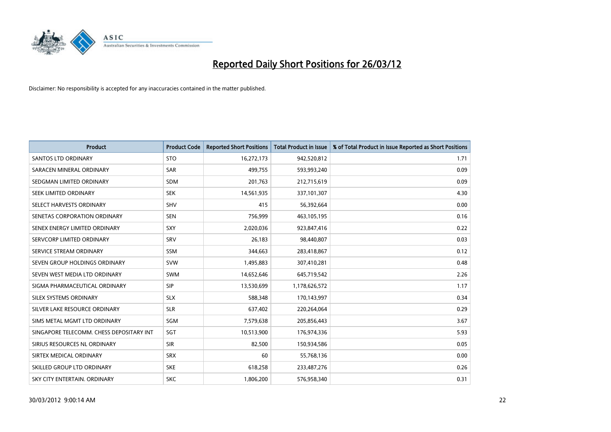

| <b>Product</b>                           | <b>Product Code</b> | <b>Reported Short Positions</b> | <b>Total Product in Issue</b> | % of Total Product in Issue Reported as Short Positions |
|------------------------------------------|---------------------|---------------------------------|-------------------------------|---------------------------------------------------------|
| <b>SANTOS LTD ORDINARY</b>               | <b>STO</b>          | 16,272,173                      | 942,520,812                   | 1.71                                                    |
| SARACEN MINERAL ORDINARY                 | <b>SAR</b>          | 499,755                         | 593,993,240                   | 0.09                                                    |
| SEDGMAN LIMITED ORDINARY                 | <b>SDM</b>          | 201,763                         | 212,715,619                   | 0.09                                                    |
| SEEK LIMITED ORDINARY                    | <b>SEK</b>          | 14,561,935                      | 337,101,307                   | 4.30                                                    |
| SELECT HARVESTS ORDINARY                 | <b>SHV</b>          | 415                             | 56,392,664                    | 0.00                                                    |
| SENETAS CORPORATION ORDINARY             | <b>SEN</b>          | 756,999                         | 463,105,195                   | 0.16                                                    |
| SENEX ENERGY LIMITED ORDINARY            | <b>SXY</b>          | 2,020,036                       | 923,847,416                   | 0.22                                                    |
| SERVCORP LIMITED ORDINARY                | SRV                 | 26,183                          | 98,440,807                    | 0.03                                                    |
| SERVICE STREAM ORDINARY                  | <b>SSM</b>          | 344,663                         | 283,418,867                   | 0.12                                                    |
| SEVEN GROUP HOLDINGS ORDINARY            | <b>SVW</b>          | 1,495,883                       | 307,410,281                   | 0.48                                                    |
| SEVEN WEST MEDIA LTD ORDINARY            | <b>SWM</b>          | 14,652,646                      | 645,719,542                   | 2.26                                                    |
| SIGMA PHARMACEUTICAL ORDINARY            | <b>SIP</b>          | 13,530,699                      | 1,178,626,572                 | 1.17                                                    |
| SILEX SYSTEMS ORDINARY                   | <b>SLX</b>          | 588,348                         | 170,143,997                   | 0.34                                                    |
| SILVER LAKE RESOURCE ORDINARY            | <b>SLR</b>          | 637,402                         | 220,264,064                   | 0.29                                                    |
| SIMS METAL MGMT LTD ORDINARY             | SGM                 | 7,579,638                       | 205,856,443                   | 3.67                                                    |
| SINGAPORE TELECOMM. CHESS DEPOSITARY INT | SGT                 | 10,513,900                      | 176,974,336                   | 5.93                                                    |
| SIRIUS RESOURCES NL ORDINARY             | <b>SIR</b>          | 82,500                          | 150,934,586                   | 0.05                                                    |
| SIRTEX MEDICAL ORDINARY                  | <b>SRX</b>          | 60                              | 55,768,136                    | 0.00                                                    |
| SKILLED GROUP LTD ORDINARY               | <b>SKE</b>          | 618,258                         | 233,487,276                   | 0.26                                                    |
| SKY CITY ENTERTAIN, ORDINARY             | <b>SKC</b>          | 1,806,200                       | 576,958,340                   | 0.31                                                    |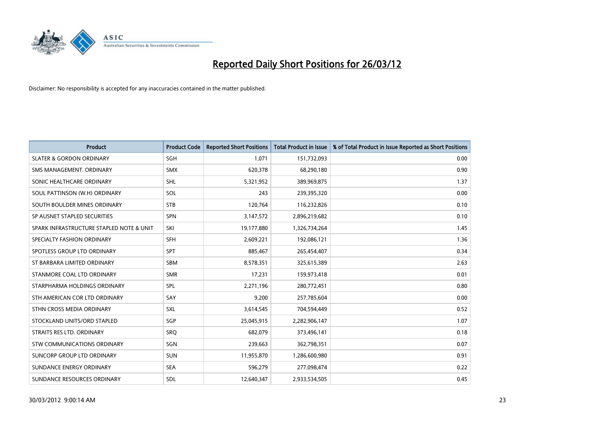

| <b>Product</b>                           | <b>Product Code</b> | <b>Reported Short Positions</b> | <b>Total Product in Issue</b> | % of Total Product in Issue Reported as Short Positions |
|------------------------------------------|---------------------|---------------------------------|-------------------------------|---------------------------------------------------------|
| <b>SLATER &amp; GORDON ORDINARY</b>      | SGH                 | 1,071                           | 151,732,093                   | 0.00                                                    |
| SMS MANAGEMENT, ORDINARY                 | <b>SMX</b>          | 620,378                         | 68,290,180                    | 0.90                                                    |
| SONIC HEALTHCARE ORDINARY                | <b>SHL</b>          | 5,321,952                       | 389,969,875                   | 1.37                                                    |
| SOUL PATTINSON (W.H) ORDINARY            | SOL                 | 243                             | 239,395,320                   | 0.00                                                    |
| SOUTH BOULDER MINES ORDINARY             | <b>STB</b>          | 120,764                         | 116,232,826                   | 0.10                                                    |
| SP AUSNET STAPLED SECURITIES             | <b>SPN</b>          | 3,147,572                       | 2,896,219,682                 | 0.10                                                    |
| SPARK INFRASTRUCTURE STAPLED NOTE & UNIT | SKI                 | 19,177,880                      | 1,326,734,264                 | 1.45                                                    |
| SPECIALTY FASHION ORDINARY               | <b>SFH</b>          | 2,609,221                       | 192,086,121                   | 1.36                                                    |
| SPOTLESS GROUP LTD ORDINARY              | <b>SPT</b>          | 885,467                         | 265,454,407                   | 0.34                                                    |
| ST BARBARA LIMITED ORDINARY              | <b>SBM</b>          | 8,578,351                       | 325,615,389                   | 2.63                                                    |
| STANMORE COAL LTD ORDINARY               | <b>SMR</b>          | 17,231                          | 159,973,418                   | 0.01                                                    |
| STARPHARMA HOLDINGS ORDINARY             | <b>SPL</b>          | 2,271,196                       | 280,772,451                   | 0.80                                                    |
| STH AMERICAN COR LTD ORDINARY            | SAY                 | 9,200                           | 257,785,604                   | 0.00                                                    |
| STHN CROSS MEDIA ORDINARY                | SXL                 | 3,614,545                       | 704,594,449                   | 0.52                                                    |
| STOCKLAND UNITS/ORD STAPLED              | SGP                 | 25,045,915                      | 2,282,906,147                 | 1.07                                                    |
| STRAITS RES LTD. ORDINARY                | <b>SRQ</b>          | 682,079                         | 373,496,141                   | 0.18                                                    |
| STW COMMUNICATIONS ORDINARY              | SGN                 | 239,663                         | 362,798,351                   | 0.07                                                    |
| SUNCORP GROUP LTD ORDINARY               | <b>SUN</b>          | 11,955,870                      | 1,286,600,980                 | 0.91                                                    |
| SUNDANCE ENERGY ORDINARY                 | <b>SEA</b>          | 596,279                         | 277,098,474                   | 0.22                                                    |
| SUNDANCE RESOURCES ORDINARY              | <b>SDL</b>          | 12,640,347                      | 2,933,534,505                 | 0.45                                                    |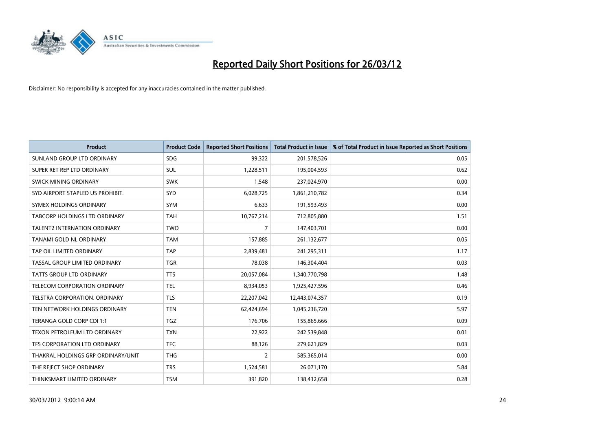

| <b>Product</b>                       | <b>Product Code</b> | <b>Reported Short Positions</b> | <b>Total Product in Issue</b> | % of Total Product in Issue Reported as Short Positions |
|--------------------------------------|---------------------|---------------------------------|-------------------------------|---------------------------------------------------------|
| SUNLAND GROUP LTD ORDINARY           | <b>SDG</b>          | 99,322                          | 201,578,526                   | 0.05                                                    |
| SUPER RET REP LTD ORDINARY           | SUL                 | 1,228,511                       | 195,004,593                   | 0.62                                                    |
| <b>SWICK MINING ORDINARY</b>         | <b>SWK</b>          | 1,548                           | 237,024,970                   | 0.00                                                    |
| SYD AIRPORT STAPLED US PROHIBIT.     | <b>SYD</b>          | 6,028,725                       | 1,861,210,782                 | 0.34                                                    |
| SYMEX HOLDINGS ORDINARY              | <b>SYM</b>          | 6,633                           | 191,593,493                   | 0.00                                                    |
| <b>TABCORP HOLDINGS LTD ORDINARY</b> | <b>TAH</b>          | 10,767,214                      | 712,805,880                   | 1.51                                                    |
| <b>TALENT2 INTERNATION ORDINARY</b>  | <b>TWO</b>          | $\overline{7}$                  | 147,403,701                   | 0.00                                                    |
| TANAMI GOLD NL ORDINARY              | <b>TAM</b>          | 157,885                         | 261,132,677                   | 0.05                                                    |
| TAP OIL LIMITED ORDINARY             | <b>TAP</b>          | 2,839,481                       | 241,295,311                   | 1.17                                                    |
| TASSAL GROUP LIMITED ORDINARY        | <b>TGR</b>          | 78,038                          | 146,304,404                   | 0.03                                                    |
| TATTS GROUP LTD ORDINARY             | <b>TTS</b>          | 20,057,084                      | 1,340,770,798                 | 1.48                                                    |
| TELECOM CORPORATION ORDINARY         | <b>TEL</b>          | 8,934,053                       | 1,925,427,596                 | 0.46                                                    |
| TELSTRA CORPORATION, ORDINARY        | <b>TLS</b>          | 22,207,042                      | 12,443,074,357                | 0.19                                                    |
| TEN NETWORK HOLDINGS ORDINARY        | <b>TEN</b>          | 62,424,694                      | 1,045,236,720                 | 5.97                                                    |
| TERANGA GOLD CORP CDI 1:1            | <b>TGZ</b>          | 176,706                         | 155,865,666                   | 0.09                                                    |
| TEXON PETROLEUM LTD ORDINARY         | <b>TXN</b>          | 22,922                          | 242,539,848                   | 0.01                                                    |
| TFS CORPORATION LTD ORDINARY         | <b>TFC</b>          | 88,126                          | 279,621,829                   | 0.03                                                    |
| THAKRAL HOLDINGS GRP ORDINARY/UNIT   | <b>THG</b>          | $\overline{2}$                  | 585,365,014                   | 0.00                                                    |
| THE REJECT SHOP ORDINARY             | <b>TRS</b>          | 1,524,581                       | 26,071,170                    | 5.84                                                    |
| THINKSMART LIMITED ORDINARY          | <b>TSM</b>          | 391,820                         | 138,432,658                   | 0.28                                                    |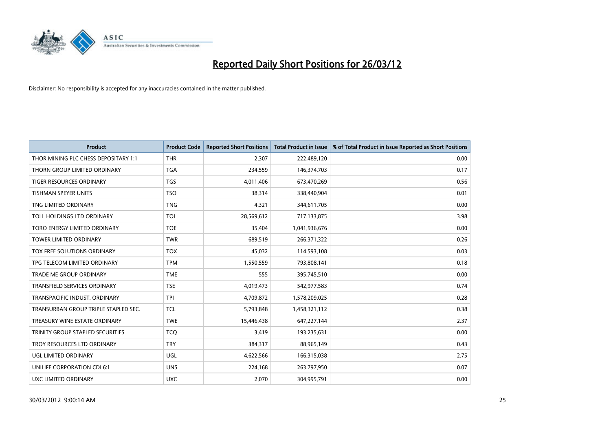

| <b>Product</b>                       | <b>Product Code</b> | <b>Reported Short Positions</b> | <b>Total Product in Issue</b> | % of Total Product in Issue Reported as Short Positions |
|--------------------------------------|---------------------|---------------------------------|-------------------------------|---------------------------------------------------------|
| THOR MINING PLC CHESS DEPOSITARY 1:1 | <b>THR</b>          | 2,307                           | 222,489,120                   | 0.00                                                    |
| THORN GROUP LIMITED ORDINARY         | <b>TGA</b>          | 234,559                         | 146,374,703                   | 0.17                                                    |
| <b>TIGER RESOURCES ORDINARY</b>      | <b>TGS</b>          | 4,011,406                       | 673,470,269                   | 0.56                                                    |
| TISHMAN SPEYER UNITS                 | <b>TSO</b>          | 38,314                          | 338,440,904                   | 0.01                                                    |
| TNG LIMITED ORDINARY                 | <b>TNG</b>          | 4,321                           | 344,611,705                   | 0.00                                                    |
| TOLL HOLDINGS LTD ORDINARY           | <b>TOL</b>          | 28,569,612                      | 717,133,875                   | 3.98                                                    |
| TORO ENERGY LIMITED ORDINARY         | <b>TOE</b>          | 35,404                          | 1,041,936,676                 | 0.00                                                    |
| TOWER LIMITED ORDINARY               | <b>TWR</b>          | 689,519                         | 266,371,322                   | 0.26                                                    |
| TOX FREE SOLUTIONS ORDINARY          | <b>TOX</b>          | 45,032                          | 114,593,108                   | 0.03                                                    |
| TPG TELECOM LIMITED ORDINARY         | <b>TPM</b>          | 1,550,559                       | 793,808,141                   | 0.18                                                    |
| TRADE ME GROUP ORDINARY              | <b>TME</b>          | 555                             | 395,745,510                   | 0.00                                                    |
| <b>TRANSFIELD SERVICES ORDINARY</b>  | <b>TSE</b>          | 4,019,473                       | 542,977,583                   | 0.74                                                    |
| TRANSPACIFIC INDUST, ORDINARY        | <b>TPI</b>          | 4,709,872                       | 1,578,209,025                 | 0.28                                                    |
| TRANSURBAN GROUP TRIPLE STAPLED SEC. | <b>TCL</b>          | 5,793,848                       | 1,458,321,112                 | 0.38                                                    |
| TREASURY WINE ESTATE ORDINARY        | <b>TWE</b>          | 15,446,438                      | 647,227,144                   | 2.37                                                    |
| TRINITY GROUP STAPLED SECURITIES     | <b>TCO</b>          | 3,419                           | 193,235,631                   | 0.00                                                    |
| TROY RESOURCES LTD ORDINARY          | <b>TRY</b>          | 384,317                         | 88,965,149                    | 0.43                                                    |
| <b>UGL LIMITED ORDINARY</b>          | UGL                 | 4,622,566                       | 166,315,038                   | 2.75                                                    |
| UNILIFE CORPORATION CDI 6:1          | <b>UNS</b>          | 224,168                         | 263,797,950                   | 0.07                                                    |
| UXC LIMITED ORDINARY                 | <b>UXC</b>          | 2,070                           | 304,995,791                   | 0.00                                                    |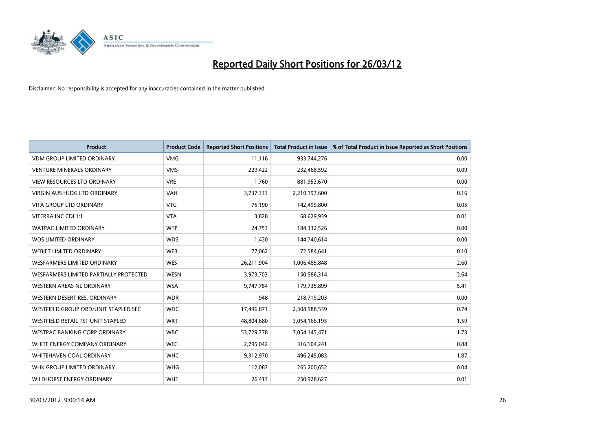

| <b>Product</b>                         | <b>Product Code</b> | <b>Reported Short Positions</b> | <b>Total Product in Issue</b> | % of Total Product in Issue Reported as Short Positions |
|----------------------------------------|---------------------|---------------------------------|-------------------------------|---------------------------------------------------------|
| <b>VDM GROUP LIMITED ORDINARY</b>      | <b>VMG</b>          | 11,116                          | 933,744,276                   | 0.00                                                    |
| <b>VENTURE MINERALS ORDINARY</b>       | <b>VMS</b>          | 229,422                         | 232,468,592                   | 0.09                                                    |
| <b>VIEW RESOURCES LTD ORDINARY</b>     | <b>VRE</b>          | 1,760                           | 881,953,670                   | 0.00                                                    |
| VIRGIN AUS HLDG LTD ORDINARY           | <b>VAH</b>          | 3,737,333                       | 2,210,197,600                 | 0.16                                                    |
| <b>VITA GROUP LTD ORDINARY</b>         | <b>VTG</b>          | 75,190                          | 142,499,800                   | 0.05                                                    |
| VITERRA INC CDI 1:1                    | <b>VTA</b>          | 3,828                           | 68,629,939                    | 0.01                                                    |
| <b>WATPAC LIMITED ORDINARY</b>         | <b>WTP</b>          | 24,753                          | 184,332,526                   | 0.00                                                    |
| <b>WDS LIMITED ORDINARY</b>            | <b>WDS</b>          | 1,420                           | 144,740,614                   | 0.00                                                    |
| WEBIET LIMITED ORDINARY                | <b>WEB</b>          | 77,062                          | 72,584,641                    | 0.10                                                    |
| WESFARMERS LIMITED ORDINARY            | <b>WES</b>          | 26,211,904                      | 1,006,485,848                 | 2.60                                                    |
| WESFARMERS LIMITED PARTIALLY PROTECTED | <b>WESN</b>         | 3,973,703                       | 150,586,314                   | 2.64                                                    |
| WESTERN AREAS NL ORDINARY              | <b>WSA</b>          | 9,747,784                       | 179,735,899                   | 5.41                                                    |
| WESTERN DESERT RES. ORDINARY           | <b>WDR</b>          | 948                             | 218,719,203                   | 0.00                                                    |
| WESTFIELD GROUP ORD/UNIT STAPLED SEC   | <b>WDC</b>          | 17,496,871                      | 2,308,988,539                 | 0.74                                                    |
| WESTFIELD RETAIL TST UNIT STAPLED      | <b>WRT</b>          | 48,804,680                      | 3,054,166,195                 | 1.59                                                    |
| <b>WESTPAC BANKING CORP ORDINARY</b>   | <b>WBC</b>          | 53,729,778                      | 3,054,145,471                 | 1.73                                                    |
| WHITE ENERGY COMPANY ORDINARY          | <b>WEC</b>          | 2,795,042                       | 316,104,241                   | 0.88                                                    |
| WHITEHAVEN COAL ORDINARY               | <b>WHC</b>          | 9,312,970                       | 496,245,083                   | 1.87                                                    |
| WHK GROUP LIMITED ORDINARY             | <b>WHG</b>          | 112,083                         | 265,200,652                   | 0.04                                                    |
| <b>WILDHORSE ENERGY ORDINARY</b>       | <b>WHE</b>          | 26,413                          | 250,928,627                   | 0.01                                                    |